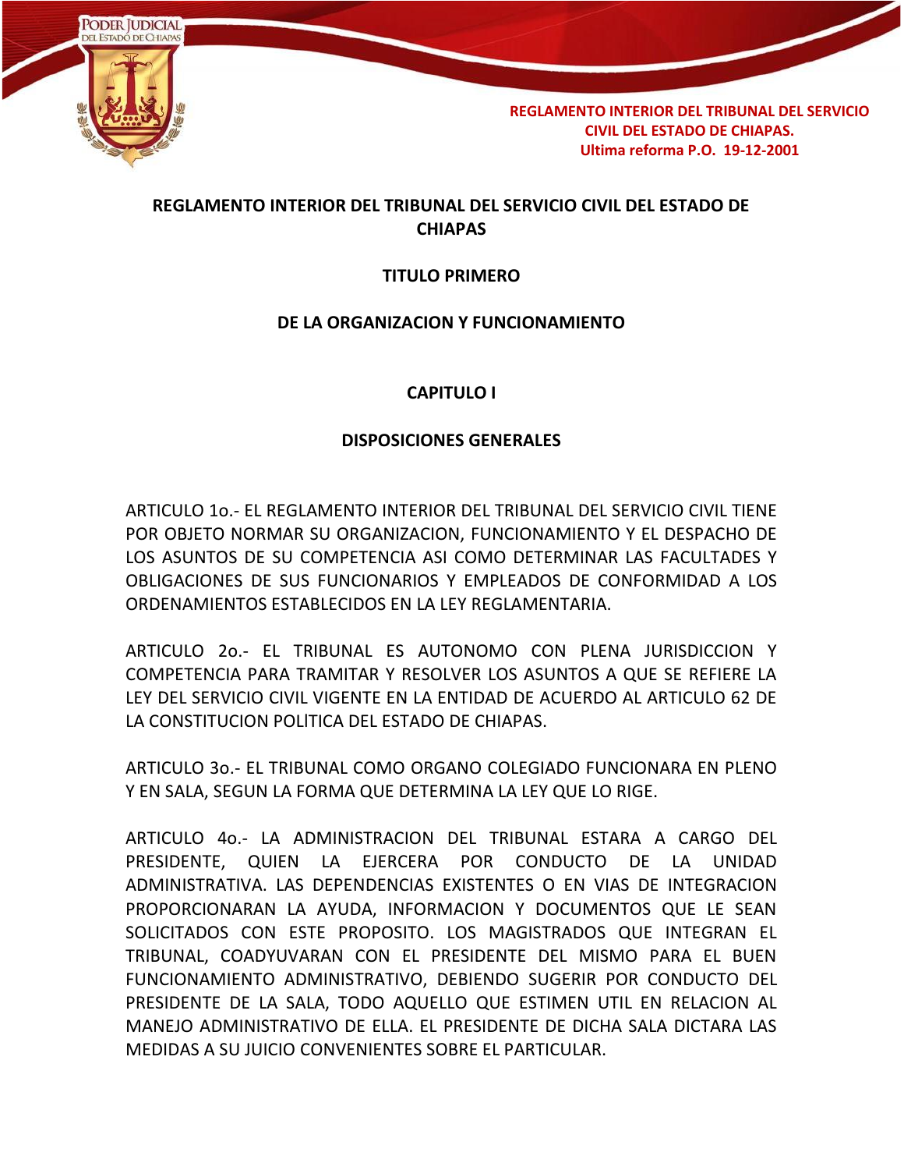

## **REGLAMENTO INTERIOR DEL TRIBUNAL DEL SERVICIO CIVIL DEL ESTADO DE CHIAPAS**

### **TITULO PRIMERO**

### **DE LA ORGANIZACION Y FUNCIONAMIENTO**

### **CAPITULO I**

#### **DISPOSICIONES GENERALES**

ARTICULO 1o.- EL REGLAMENTO INTERIOR DEL TRIBUNAL DEL SERVICIO CIVIL TIENE POR OBJETO NORMAR SU ORGANIZACION, FUNCIONAMIENTO Y EL DESPACHO DE LOS ASUNTOS DE SU COMPETENCIA ASI COMO DETERMINAR LAS FACULTADES Y OBLIGACIONES DE SUS FUNCIONARIOS Y EMPLEADOS DE CONFORMIDAD A LOS ORDENAMIENTOS ESTABLECIDOS EN LA LEY REGLAMENTARIA.

ARTICULO 2o.- EL TRIBUNAL ES AUTONOMO CON PLENA JURISDICCION Y COMPETENCIA PARA TRAMITAR Y RESOLVER LOS ASUNTOS A QUE SE REFIERE LA LEY DEL SERVICIO CIVIL VIGENTE EN LA ENTIDAD DE ACUERDO AL ARTICULO 62 DE LA CONSTITUCION POLlTICA DEL ESTADO DE CHIAPAS.

ARTICULO 3o.- EL TRIBUNAL COMO ORGANO COLEGIADO FUNCIONARA EN PLENO Y EN SALA, SEGUN LA FORMA QUE DETERMINA LA LEY QUE LO RIGE.

ARTICULO 4o.- LA ADMINISTRACION DEL TRIBUNAL ESTARA A CARGO DEL PRESIDENTE, QUIEN LA EJERCERA POR CONDUCTO DE LA UNIDAD ADMINISTRATIVA. LAS DEPENDENCIAS EXISTENTES O EN VIAS DE INTEGRACION PROPORCIONARAN LA AYUDA, INFORMACION Y DOCUMENTOS QUE LE SEAN SOLICITADOS CON ESTE PROPOSITO. LOS MAGISTRADOS QUE INTEGRAN EL TRIBUNAL, COADYUVARAN CON EL PRESIDENTE DEL MISMO PARA EL BUEN FUNCIONAMIENTO ADMINISTRATIVO, DEBIENDO SUGERIR POR CONDUCTO DEL PRESIDENTE DE LA SALA, TODO AQUELLO QUE ESTIMEN UTIL EN RELACION AL MANEJO ADMINISTRATIVO DE ELLA. EL PRESIDENTE DE DICHA SALA DICTARA LAS MEDIDAS A SU JUICIO CONVENIENTES SOBRE EL PARTICULAR.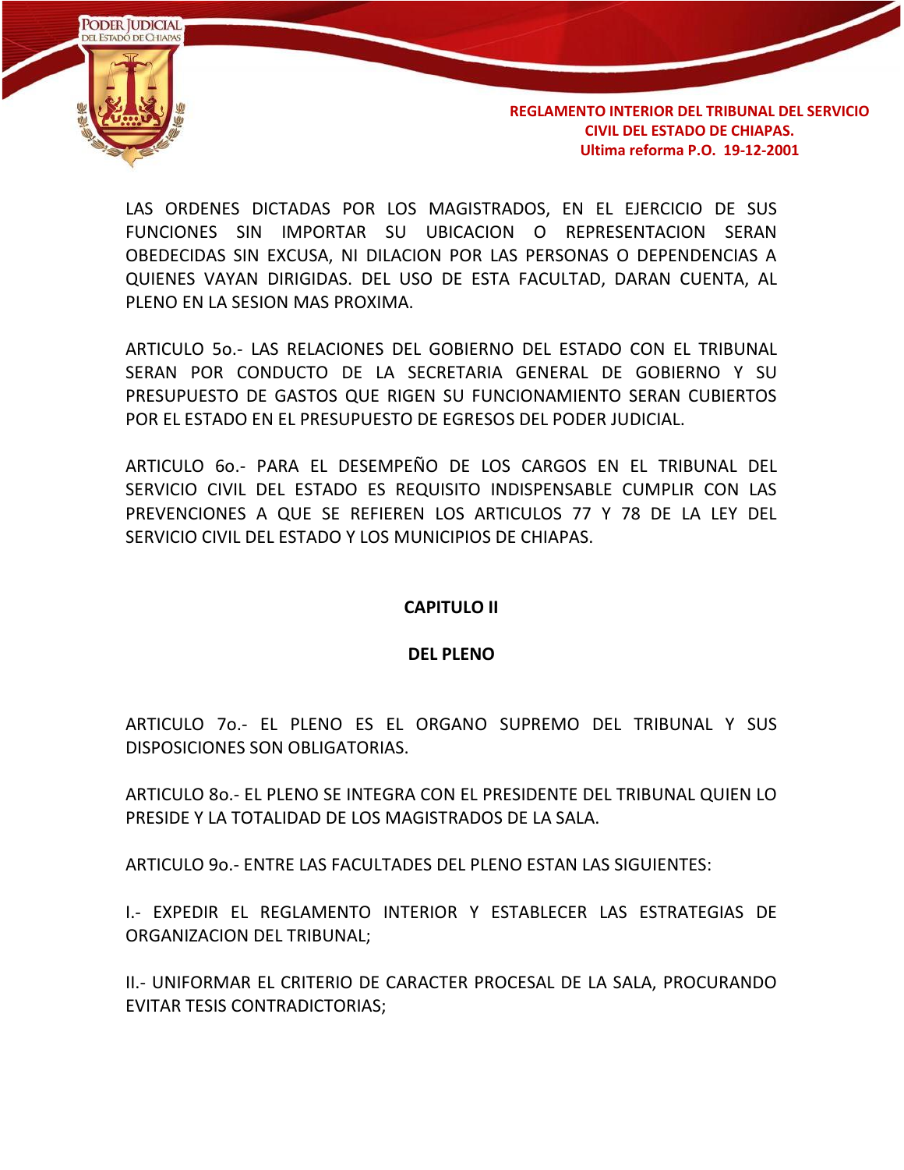

LAS ORDENES DICTADAS POR LOS MAGISTRADOS, EN EL EJERCICIO DE SUS FUNCIONES SIN IMPORTAR SU UBICACION O REPRESENTACION SERAN OBEDECIDAS SIN EXCUSA, NI DILACION POR LAS PERSONAS O DEPENDENCIAS A QUIENES VAYAN DIRIGIDAS. DEL USO DE ESTA FACULTAD, DARAN CUENTA, AL PLENO EN LA SESION MAS PROXIMA.

ARTICULO 5o.- LAS RELACIONES DEL GOBIERNO DEL ESTADO CON EL TRIBUNAL SERAN POR CONDUCTO DE LA SECRETARIA GENERAL DE GOBIERNO Y SU PRESUPUESTO DE GASTOS QUE RIGEN SU FUNCIONAMIENTO SERAN CUBIERTOS POR EL ESTADO EN EL PRESUPUESTO DE EGRESOS DEL PODER JUDICIAL.

ARTICULO 6o.- PARA EL DESEMPEÑO DE LOS CARGOS EN EL TRIBUNAL DEL SERVICIO CIVIL DEL ESTADO ES REQUISITO INDISPENSABLE CUMPLIR CON LAS PREVENCIONES A QUE SE REFIEREN LOS ARTICULOS 77 Y 78 DE LA LEY DEL SERVICIO CIVIL DEL ESTADO Y LOS MUNICIPIOS DE CHIAPAS.

#### **CAPITULO II**

#### **DEL PLENO**

ARTICULO 7o.- EL PLENO ES EL ORGANO SUPREMO DEL TRIBUNAL Y SUS DISPOSICIONES SON OBLIGATORIAS.

ARTICULO 8o.- EL PLENO SE INTEGRA CON EL PRESIDENTE DEL TRIBUNAL QUIEN LO PRESIDE Y LA TOTALIDAD DE LOS MAGISTRADOS DE LA SALA.

ARTICULO 9o.- ENTRE LAS FACULTADES DEL PLENO ESTAN LAS SIGUIENTES:

I.- EXPEDIR EL REGLAMENTO INTERIOR Y ESTABLECER LAS ESTRATEGIAS DE ORGANIZACION DEL TRIBUNAL;

II.- UNIFORMAR EL CRITERIO DE CARACTER PROCESAL DE LA SALA, PROCURANDO EVITAR TESIS CONTRADICTORIAS;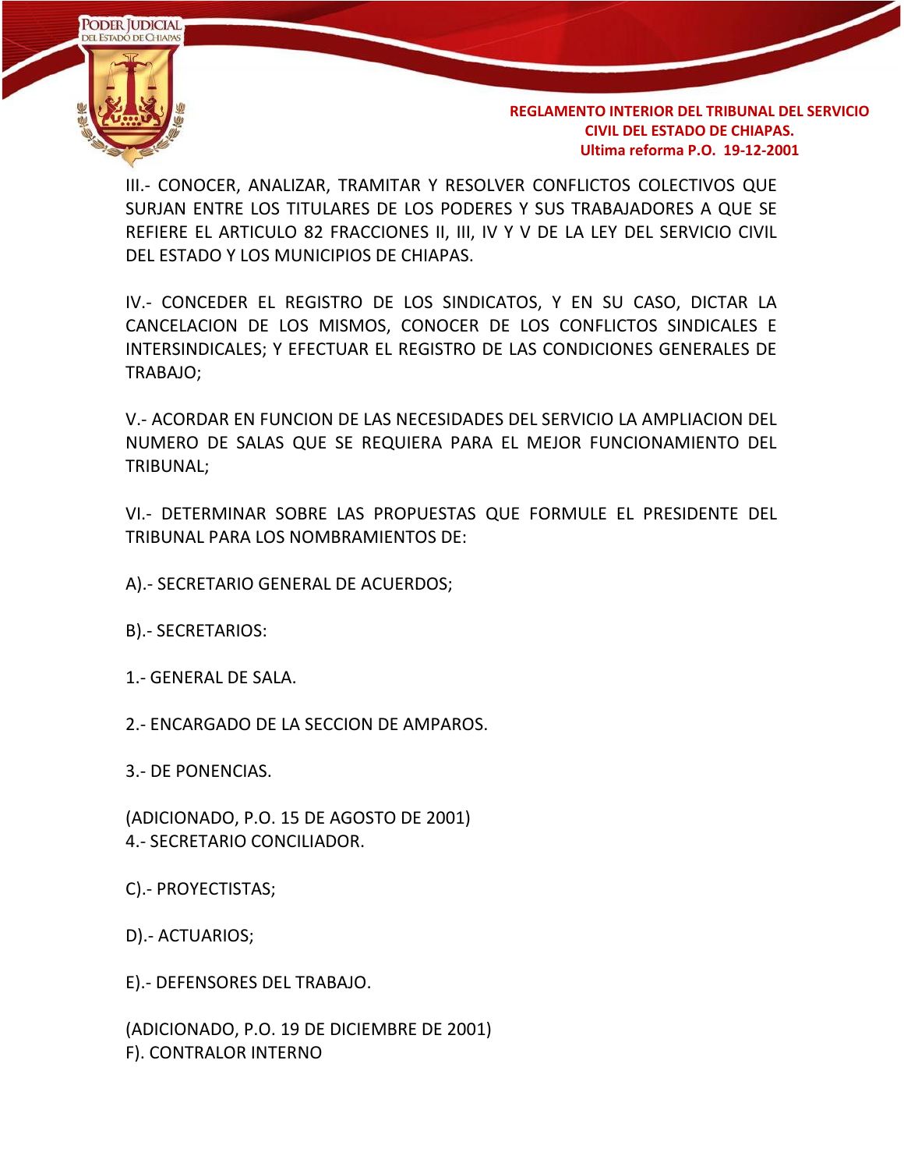

III.- CONOCER, ANALIZAR, TRAMITAR Y RESOLVER CONFLICTOS COLECTIVOS QUE SURJAN ENTRE LOS TITULARES DE LOS PODERES Y SUS TRABAJADORES A QUE SE REFIERE EL ARTICULO 82 FRACCIONES II, III, IV Y V DE LA LEY DEL SERVICIO CIVIL DEL ESTADO Y LOS MUNICIPIOS DE CHIAPAS.

IV.- CONCEDER EL REGISTRO DE LOS SINDICATOS, Y EN SU CASO, DICTAR LA CANCELACION DE LOS MISMOS, CONOCER DE LOS CONFLICTOS SINDICALES E INTERSINDICALES; Y EFECTUAR EL REGISTRO DE LAS CONDICIONES GENERALES DE TRABAJO;

V.- ACORDAR EN FUNCION DE LAS NECESIDADES DEL SERVICIO LA AMPLIACION DEL NUMERO DE SALAS QUE SE REQUIERA PARA EL MEJOR FUNCIONAMIENTO DEL TRIBUNAL;

VI.- DETERMINAR SOBRE LAS PROPUESTAS QUE FORMULE EL PRESIDENTE DEL TRIBUNAL PARA LOS NOMBRAMIENTOS DE:

A).- SECRETARIO GENERAL DE ACUERDOS;

B).- SECRETARIOS:

1.- GENERAL DE SALA.

2.- ENCARGADO DE LA SECCION DE AMPAROS.

3.- DE PONENCIAS.

(ADICIONADO, P.O. 15 DE AGOSTO DE 2001) 4.- SECRETARIO CONCILIADOR.

C).- PROYECTISTAS;

D).- ACTUARIOS;

E).- DEFENSORES DEL TRABAJO.

(ADICIONADO, P.O. 19 DE DICIEMBRE DE 2001) F). CONTRALOR INTERNO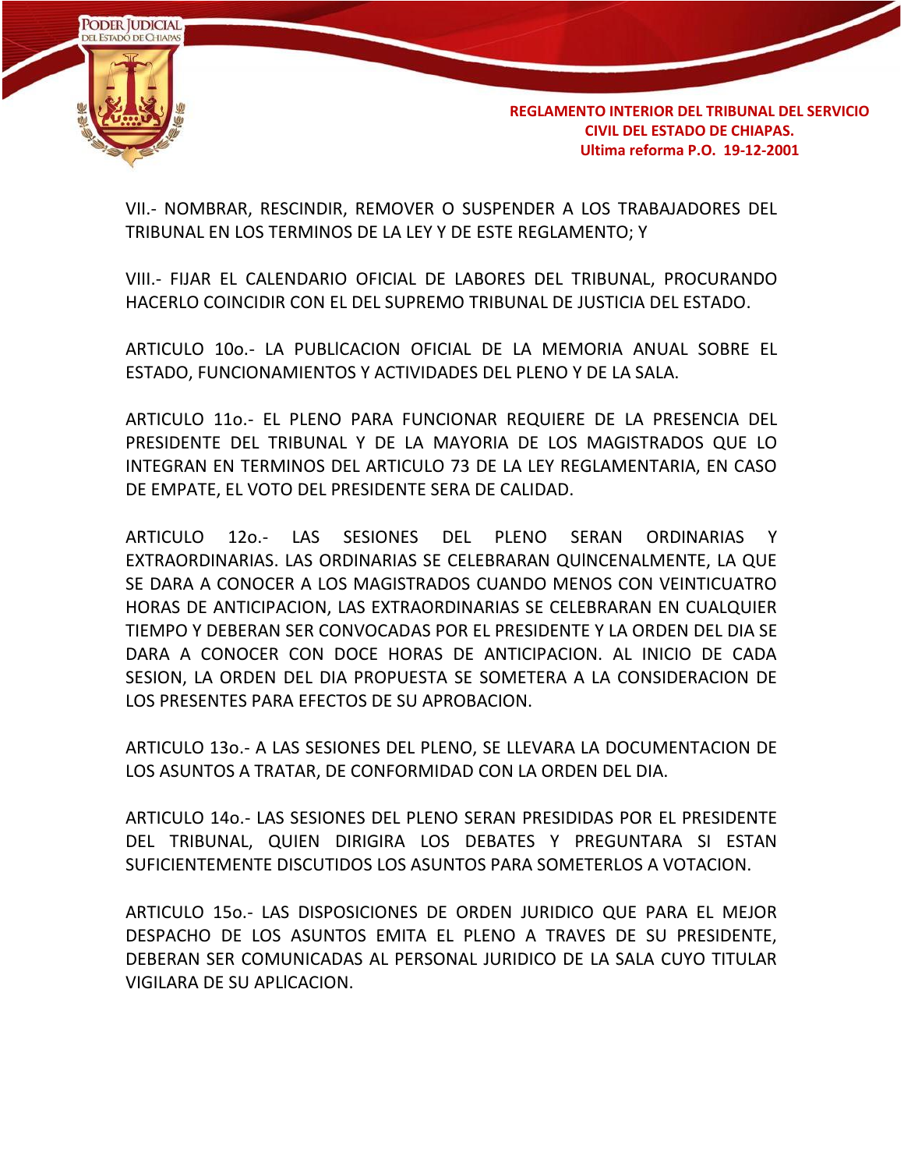

VII.- NOMBRAR, RESCINDIR, REMOVER O SUSPENDER A LOS TRABAJADORES DEL TRIBUNAL EN LOS TERMINOS DE LA LEY Y DE ESTE REGLAMENTO; Y

VIII.- FIJAR EL CALENDARIO OFICIAL DE LABORES DEL TRIBUNAL, PROCURANDO HACERLO COINCIDIR CON EL DEL SUPREMO TRIBUNAL DE JUSTICIA DEL ESTADO.

ARTICULO 10o.- LA PUBLlCACION OFICIAL DE LA MEMORIA ANUAL SOBRE EL ESTADO, FUNCIONAMIENTOS Y ACTIVIDADES DEL PLENO Y DE LA SALA.

ARTICULO 11o.- EL PLENO PARA FUNCIONAR REQUIERE DE LA PRESENCIA DEL PRESIDENTE DEL TRIBUNAL Y DE LA MAYORIA DE LOS MAGISTRADOS QUE LO INTEGRAN EN TERMINOS DEL ARTICULO 73 DE LA LEY REGLAMENTARIA, EN CASO DE EMPATE, EL VOTO DEL PRESIDENTE SERA DE CALIDAD.

ARTICULO 12o.- LAS SESIONES DEL PLENO SERAN ORDINARIAS Y EXTRAORDINARIAS. LAS ORDINARIAS SE CELEBRARAN QUlNCENALMENTE, LA QUE SE DARA A CONOCER A LOS MAGISTRADOS CUANDO MENOS CON VEINTICUATRO HORAS DE ANTICIPACION, LAS EXTRAORDINARIAS SE CELEBRARAN EN CUALQUIER TIEMPO Y DEBERAN SER CONVOCADAS POR EL PRESIDENTE Y LA ORDEN DEL DIA SE DARA A CONOCER CON DOCE HORAS DE ANTICIPACION. AL INICIO DE CADA SESION, LA ORDEN DEL DIA PROPUESTA SE SOMETERA A LA CONSIDERACION DE LOS PRESENTES PARA EFECTOS DE SU APROBACION.

ARTICULO 13o.- A LAS SESIONES DEL PLENO, SE LLEVARA LA DOCUMENTACION DE LOS ASUNTOS A TRATAR, DE CONFORMIDAD CON LA ORDEN DEL DIA.

ARTICULO 14o.- LAS SESIONES DEL PLENO SERAN PRESIDIDAS POR EL PRESIDENTE DEL TRIBUNAL, QUIEN DIRIGIRA LOS DEBATES Y PREGUNTARA SI ESTAN SUFICIENTEMENTE DISCUTIDOS LOS ASUNTOS PARA SOMETERLOS A VOTACION.

ARTICULO 15o.- LAS DISPOSICIONES DE ORDEN JURIDICO QUE PARA EL MEJOR DESPACHO DE LOS ASUNTOS EMITA EL PLENO A TRAVES DE SU PRESIDENTE, DEBERAN SER COMUNICADAS AL PERSONAL JURIDICO DE LA SALA CUYO TITULAR VIGILARA DE SU APLlCACION.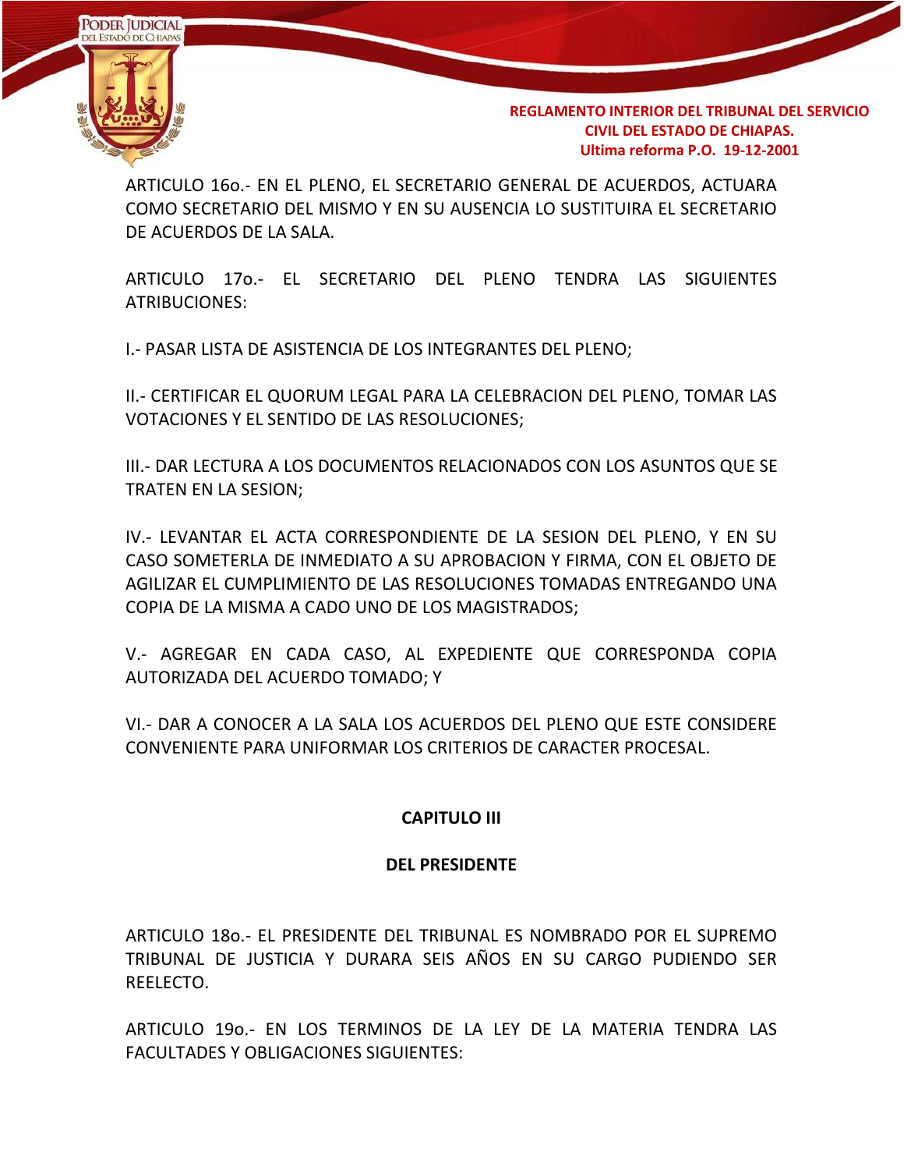

ARTICULO 16o.- EN EL PLENO, EL SECRETARIO GENERAL DE ACUERDOS, ACTUARA COMO SECRETARIO DEL MISMO Y EN SU AUSENCIA LO SUSTITUIRA EL SECRETARIO DE ACUERDOS DE LA SALA.

ARTICULO 17o.- EL SECRETARIO DEL PLENO TENDRA LAS SIGUIENTES ATRIBUCIONES:

I.- PASAR LISTA DE ASISTENCIA DE LOS INTEGRANTES DEL PLENO;

II.- CERTIFICAR EL QUORUM LEGAL PARA LA CELEBRACION DEL PLENO, TOMAR LAS VOTACIONES Y EL SENTIDO DE LAS RESOLUCIONES;

III.- DAR LECTURA A LOS DOCUMENTOS RELACIONADOS CON LOS ASUNTOS QUE SE TRATEN EN LA SESION;

IV.- LEVANTAR EL ACTA CORRESPONDIENTE DE LA SESION DEL PLENO, Y EN SU CASO SOMETERLA DE INMEDIATO A SU APROBACION Y FIRMA, CON EL OBJETO DE AGILIZAR EL CUMPLIMIENTO DE LAS RESOLUCIONES TOMADAS ENTREGANDO UNA COPIA DE LA MISMA A CADO UNO DE LOS MAGISTRADOS;

V.- AGREGAR EN CADA CASO, AL EXPEDIENTE QUE CORRESPONDA COPIA AUTORIZADA DEL ACUERDO TOMADO; Y

VI.- DAR A CONOCER A LA SALA LOS ACUERDOS DEL PLENO QUE ESTE CONSIDERE CONVENIENTE PARA UNIFORMAR LOS CRITERIOS DE CARACTER PROCESAL.

### **CAPITULO III**

#### **DEL PRESIDENTE**

ARTICULO 18o.- EL PRESIDENTE DEL TRIBUNAL ES NOMBRADO POR EL SUPREMO TRIBUNAL DE JUSTICIA Y DURARA SEIS AÑOS EN SU CARGO PUDIENDO SER REELECTO.

ARTICULO 19o.- EN LOS TERMINOS DE LA LEY DE LA MATERIA TENDRA LAS FACULTADES Y OBLIGACIONES SIGUIENTES: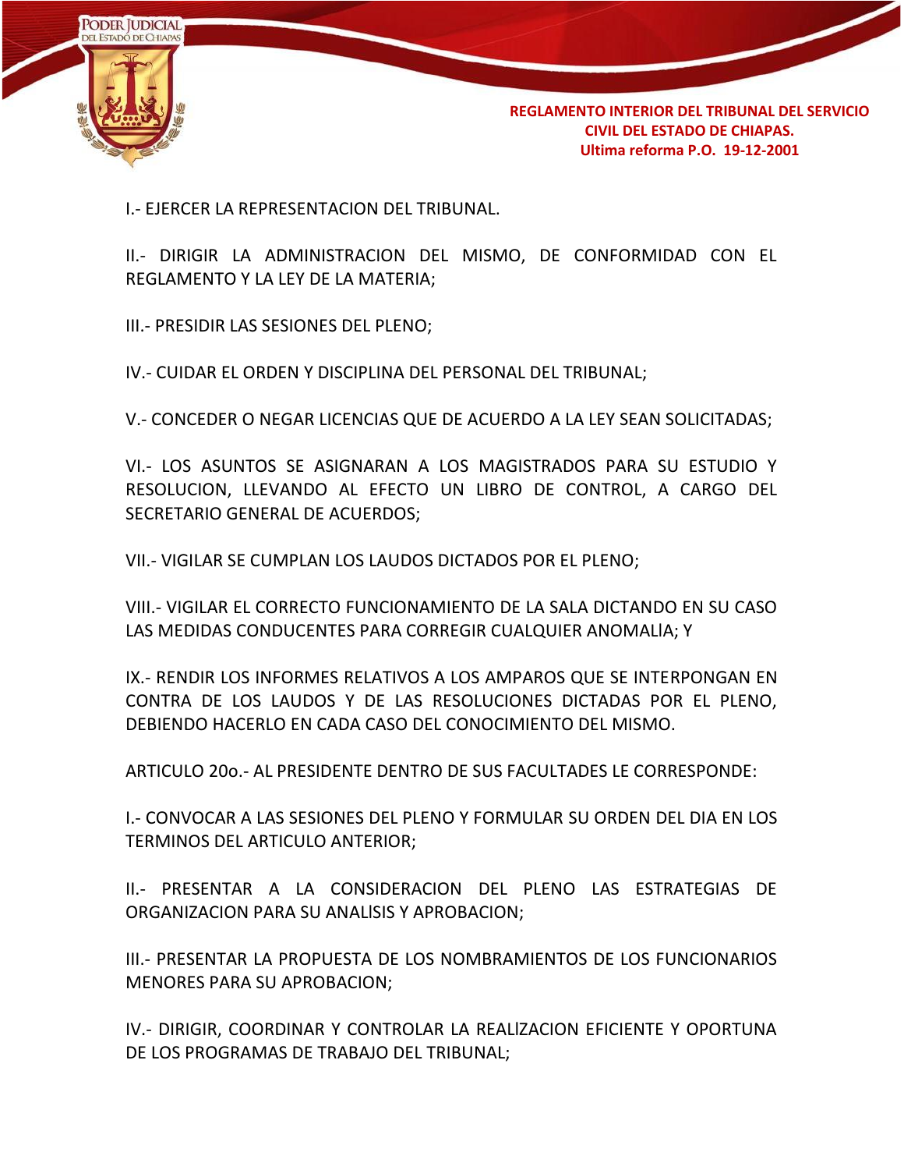

I.- EJERCER LA REPRESENTACION DEL TRIBUNAL.

II.- DIRIGIR LA ADMINISTRACION DEL MISMO, DE CONFORMIDAD CON EL REGLAMENTO Y LA LEY DE LA MATERIA;

III.- PRESIDIR LAS SESIONES DEL PLENO;

IV.- CUIDAR EL ORDEN Y DISCIPLINA DEL PERSONAL DEL TRIBUNAL;

V.- CONCEDER O NEGAR LICENCIAS QUE DE ACUERDO A LA LEY SEAN SOLICITADAS;

VI.- LOS ASUNTOS SE ASIGNARAN A LOS MAGISTRADOS PARA SU ESTUDIO Y RESOLUCION, LLEVANDO AL EFECTO UN LIBRO DE CONTROL, A CARGO DEL SECRETARIO GENERAL DE ACUERDOS;

VII.- VIGILAR SE CUMPLAN LOS LAUDOS DICTADOS POR EL PLENO;

VIII.- VIGILAR EL CORRECTO FUNCIONAMIENTO DE LA SALA DICTANDO EN SU CASO LAS MEDIDAS CONDUCENTES PARA CORREGIR CUALQUIER ANOMALlA; Y

IX.- RENDIR LOS INFORMES RELATIVOS A LOS AMPAROS QUE SE INTERPONGAN EN CONTRA DE LOS LAUDOS Y DE LAS RESOLUCIONES DICTADAS POR EL PLENO, DEBIENDO HACERLO EN CADA CASO DEL CONOCIMIENTO DEL MISMO.

ARTICULO 20o.- AL PRESIDENTE DENTRO DE SUS FACULTADES LE CORRESPONDE:

I.- CONVOCAR A LAS SESIONES DEL PLENO Y FORMULAR SU ORDEN DEL DIA EN LOS TERMINOS DEL ARTICULO ANTERIOR;

II.- PRESENTAR A LA CONSIDERACION DEL PLENO LAS ESTRATEGIAS DE ORGANIZACION PARA SU ANALlSIS Y APROBACION;

III.- PRESENTAR LA PROPUESTA DE LOS NOMBRAMIENTOS DE LOS FUNCIONARIOS MENORES PARA SU APROBACION;

IV.- DIRIGIR, COORDINAR Y CONTROLAR LA REALlZACION EFICIENTE Y OPORTUNA DE LOS PROGRAMAS DE TRABAJO DEL TRIBUNAL;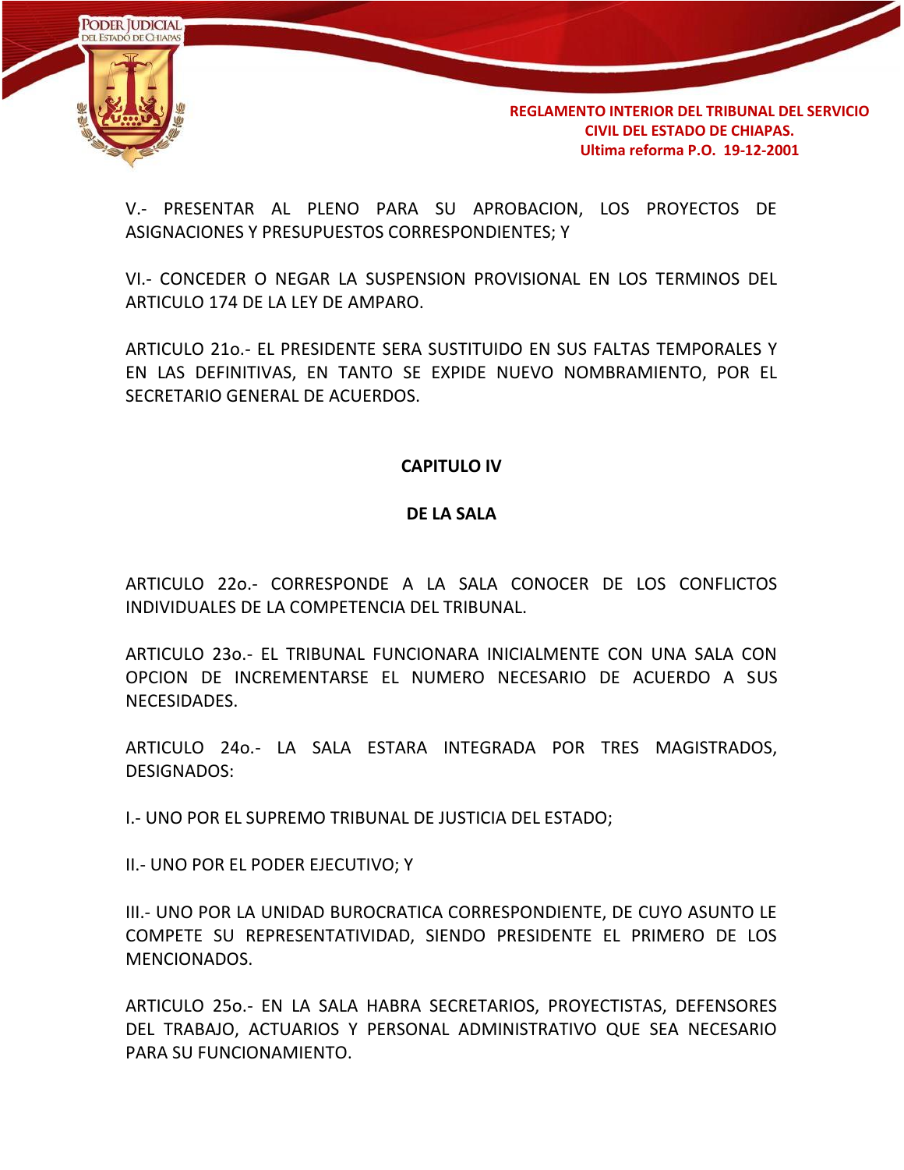

V.- PRESENTAR AL PLENO PARA SU APROBACION, LOS PROYECTOS DE ASIGNACIONES Y PRESUPUESTOS CORRESPONDIENTES; Y

VI.- CONCEDER O NEGAR LA SUSPENSION PROVISIONAL EN LOS TERMINOS DEL ARTICULO 174 DE LA LEY DE AMPARO.

ARTICULO 21o.- EL PRESIDENTE SERA SUSTITUIDO EN SUS FALTAS TEMPORALES Y EN LAS DEFINITIVAS, EN TANTO SE EXPIDE NUEVO NOMBRAMIENTO, POR EL SECRETARIO GENERAL DE ACUERDOS.

### **CAPITULO IV**

#### **DE LA SALA**

ARTICULO 22o.- CORRESPONDE A LA SALA CONOCER DE LOS CONFLICTOS INDIVIDUALES DE LA COMPETENCIA DEL TRIBUNAL.

ARTICULO 23o.- EL TRIBUNAL FUNCIONARA INICIALMENTE CON UNA SALA CON OPCION DE INCREMENTARSE EL NUMERO NECESARIO DE ACUERDO A SUS NECESIDADES.

ARTICULO 24o.- LA SALA ESTARA INTEGRADA POR TRES MAGISTRADOS, DESIGNADOS:

I.- UNO POR EL SUPREMO TRIBUNAL DE JUSTICIA DEL ESTADO;

II.- UNO POR EL PODER EJECUTIVO; Y

III.- UNO POR LA UNIDAD BUROCRATICA CORRESPONDIENTE, DE CUYO ASUNTO LE COMPETE SU REPRESENTATIVIDAD, SIENDO PRESIDENTE EL PRIMERO DE LOS MENCIONADOS.

ARTICULO 25o.- EN LA SALA HABRA SECRETARIOS, PROYECTISTAS, DEFENSORES DEL TRABAJO, ACTUARIOS Y PERSONAL ADMINISTRATIVO QUE SEA NECESARIO PARA SU FUNCIONAMIENTO.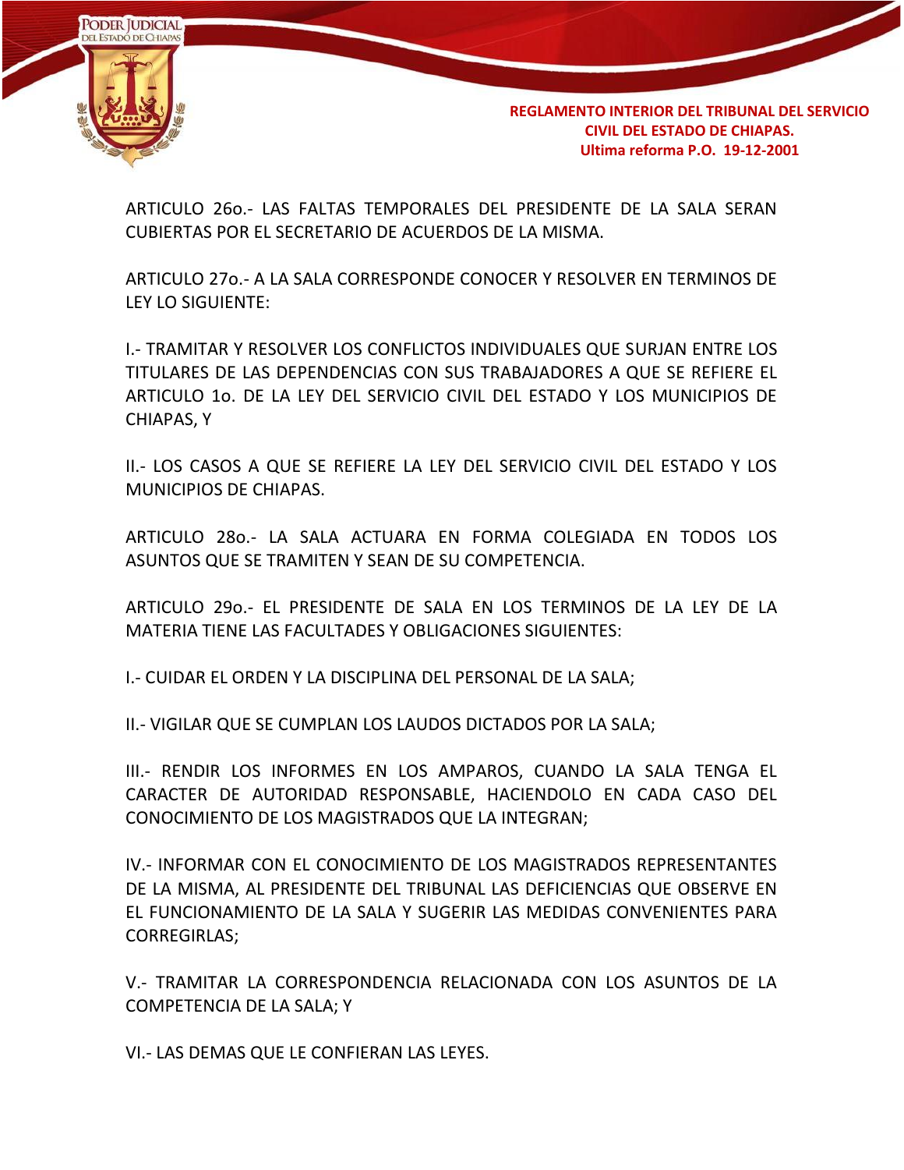

ARTICULO 26o.- LAS FALTAS TEMPORALES DEL PRESIDENTE DE LA SALA SERAN CUBIERTAS POR EL SECRETARIO DE ACUERDOS DE LA MISMA.

ARTICULO 27o.- A LA SALA CORRESPONDE CONOCER Y RESOLVER EN TERMINOS DE LEY LO SIGUIENTE:

I.- TRAMITAR Y RESOLVER LOS CONFLICTOS INDIVIDUALES QUE SURJAN ENTRE LOS TITULARES DE LAS DEPENDENCIAS CON SUS TRABAJADORES A QUE SE REFIERE EL ARTICULO 1o. DE LA LEY DEL SERVICIO CIVIL DEL ESTADO Y LOS MUNICIPIOS DE CHIAPAS, Y

II.- LOS CASOS A QUE SE REFIERE LA LEY DEL SERVICIO CIVIL DEL ESTADO Y LOS MUNICIPIOS DE CHIAPAS.

ARTICULO 28o.- LA SALA ACTUARA EN FORMA COLEGIADA EN TODOS LOS ASUNTOS QUE SE TRAMITEN Y SEAN DE SU COMPETENCIA.

ARTICULO 29o.- EL PRESIDENTE DE SALA EN LOS TERMINOS DE LA LEY DE LA MATERIA TIENE LAS FACULTADES Y OBLIGACIONES SIGUIENTES:

I.- CUIDAR EL ORDEN Y LA DISCIPLINA DEL PERSONAL DE LA SALA;

II.- VIGILAR QUE SE CUMPLAN LOS LAUDOS DICTADOS POR LA SALA;

III.- RENDIR LOS INFORMES EN LOS AMPAROS, CUANDO LA SALA TENGA EL CARACTER DE AUTORIDAD RESPONSABLE, HACIENDOLO EN CADA CASO DEL CONOCIMIENTO DE LOS MAGISTRADOS QUE LA INTEGRAN;

IV.- INFORMAR CON EL CONOCIMIENTO DE LOS MAGISTRADOS REPRESENTANTES DE LA MISMA, AL PRESIDENTE DEL TRIBUNAL LAS DEFICIENCIAS QUE OBSERVE EN EL FUNCIONAMIENTO DE LA SALA Y SUGERIR LAS MEDIDAS CONVENIENTES PARA CORREGIRLAS;

V.- TRAMITAR LA CORRESPONDENCIA RELACIONADA CON LOS ASUNTOS DE LA COMPETENCIA DE LA SALA; Y

VI.- LAS DEMAS QUE LE CONFIERAN LAS LEYES.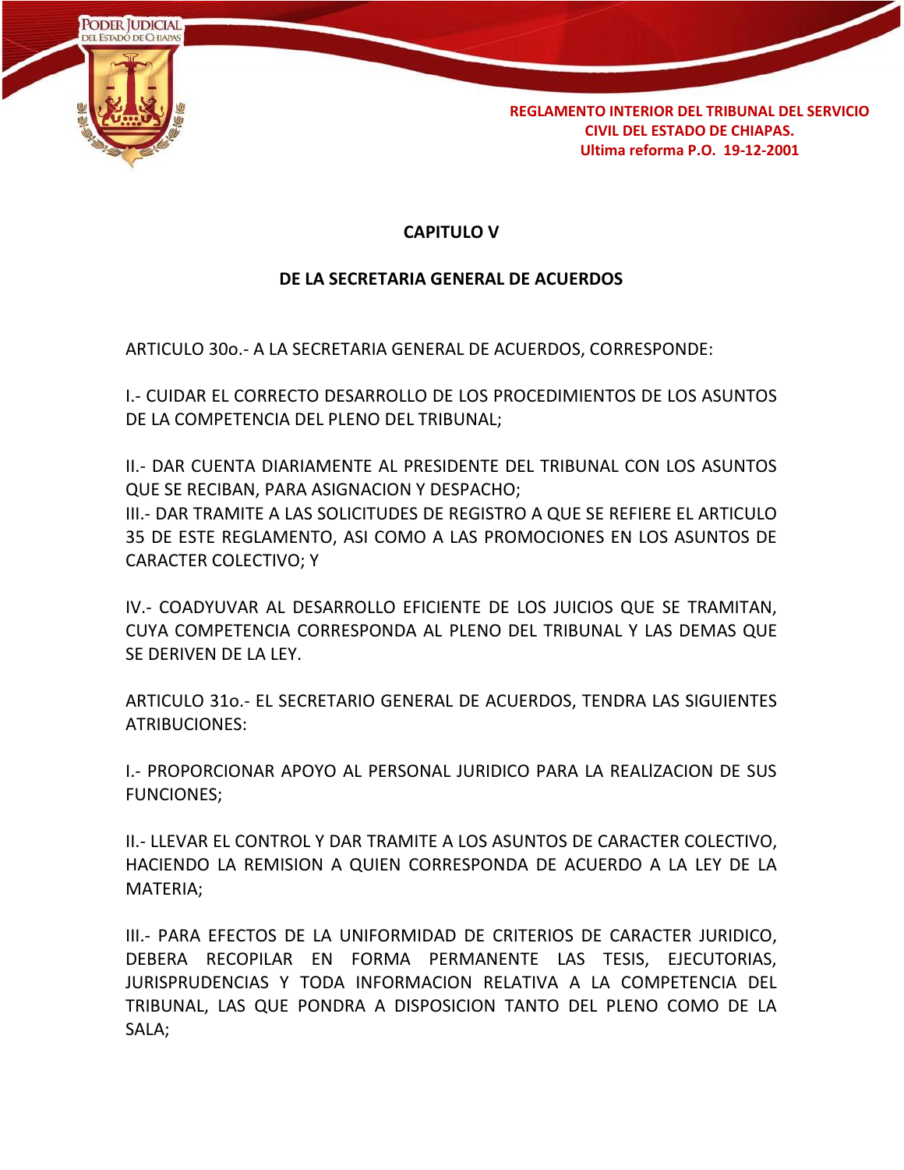

## **CAPITULO V**

### **DE LA SECRETARIA GENERAL DE ACUERDOS**

ARTICULO 30o.- A LA SECRETARIA GENERAL DE ACUERDOS, CORRESPONDE:

I.- CUIDAR EL CORRECTO DESARROLLO DE LOS PROCEDIMIENTOS DE LOS ASUNTOS DE LA COMPETENCIA DEL PLENO DEL TRIBUNAL;

II.- DAR CUENTA DIARIAMENTE AL PRESIDENTE DEL TRIBUNAL CON LOS ASUNTOS QUE SE RECIBAN, PARA ASIGNACION Y DESPACHO; III.- DAR TRAMITE A LAS SOLICITUDES DE REGISTRO A QUE SE REFIERE EL ARTICULO 35 DE ESTE REGLAMENTO, ASI COMO A LAS PROMOCIONES EN LOS ASUNTOS DE

CARACTER COLECTIVO; Y

IV.- COADYUVAR AL DESARROLLO EFICIENTE DE LOS JUICIOS QUE SE TRAMITAN, CUYA COMPETENCIA CORRESPONDA AL PLENO DEL TRIBUNAL Y LAS DEMAS QUE SE DERIVEN DE LA LEY.

ARTICULO 31o.- EL SECRETARIO GENERAL DE ACUERDOS, TENDRA LAS SIGUIENTES ATRIBUCIONES:

I.- PROPORCIONAR APOYO AL PERSONAL JURIDICO PARA LA REALlZACION DE SUS FUNCIONES;

II.- LLEVAR EL CONTROL Y DAR TRAMITE A LOS ASUNTOS DE CARACTER COLECTIVO, HACIENDO LA REMISION A QUIEN CORRESPONDA DE ACUERDO A LA LEY DE LA MATERIA;

III.- PARA EFECTOS DE LA UNIFORMIDAD DE CRITERIOS DE CARACTER JURIDICO, DEBERA RECOPILAR EN FORMA PERMANENTE LAS TESIS, EJECUTORIAS, JURISPRUDENCIAS Y TODA INFORMACION RELATIVA A LA COMPETENCIA DEL TRIBUNAL, LAS QUE PONDRA A DISPOSICION TANTO DEL PLENO COMO DE LA SALA;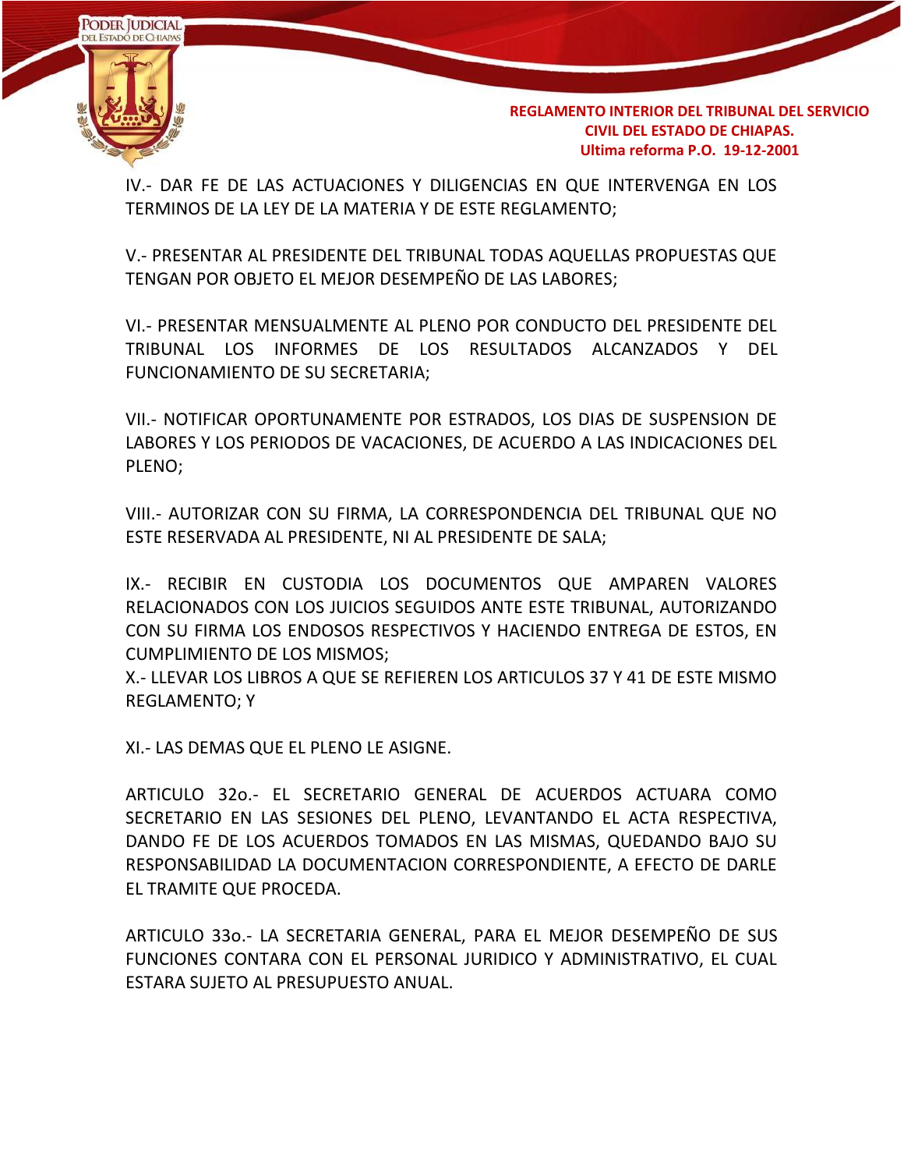

IV.- DAR FE DE LAS ACTUACIONES Y DILIGENCIAS EN QUE INTERVENGA EN LOS TERMINOS DE LA LEY DE LA MATERIA Y DE ESTE REGLAMENTO;

V.- PRESENTAR AL PRESIDENTE DEL TRIBUNAL TODAS AQUELLAS PROPUESTAS QUE TENGAN POR OBJETO EL MEJOR DESEMPEÑO DE LAS LABORES;

VI.- PRESENTAR MENSUALMENTE AL PLENO POR CONDUCTO DEL PRESIDENTE DEL TRIBUNAL LOS INFORMES DE LOS RESULTADOS ALCANZADOS Y DEL FUNCIONAMIENTO DE SU SECRETARIA;

VII.- NOTIFICAR OPORTUNAMENTE POR ESTRADOS, LOS DIAS DE SUSPENSION DE LABORES Y LOS PERIODOS DE VACACIONES, DE ACUERDO A LAS INDICACIONES DEL PLENO;

VIII.- AUTORIZAR CON SU FIRMA, LA CORRESPONDENCIA DEL TRIBUNAL QUE NO ESTE RESERVADA AL PRESIDENTE, NI AL PRESIDENTE DE SALA;

IX.- RECIBIR EN CUSTODIA LOS DOCUMENTOS QUE AMPAREN VALORES RELACIONADOS CON LOS JUICIOS SEGUIDOS ANTE ESTE TRIBUNAL, AUTORIZANDO CON SU FIRMA LOS ENDOSOS RESPECTIVOS Y HACIENDO ENTREGA DE ESTOS, EN CUMPLIMIENTO DE LOS MISMOS;

X.- LLEVAR LOS LIBROS A QUE SE REFIEREN LOS ARTICULOS 37 Y 41 DE ESTE MISMO REGLAMENTO; Y

XI.- LAS DEMAS QUE EL PLENO LE ASIGNE.

ARTICULO 32o.- EL SECRETARIO GENERAL DE ACUERDOS ACTUARA COMO SECRETARIO EN LAS SESIONES DEL PLENO, LEVANTANDO EL ACTA RESPECTIVA, DANDO FE DE LOS ACUERDOS TOMADOS EN LAS MISMAS, QUEDANDO BAJO SU RESPONSABILIDAD LA DOCUMENTACION CORRESPONDIENTE, A EFECTO DE DARLE EL TRAMITE QUE PROCEDA.

ARTICULO 33o.- LA SECRETARIA GENERAL, PARA EL MEJOR DESEMPEÑO DE SUS FUNCIONES CONTARA CON EL PERSONAL JURIDICO Y ADMINISTRATIVO, EL CUAL ESTARA SUJETO AL PRESUPUESTO ANUAL.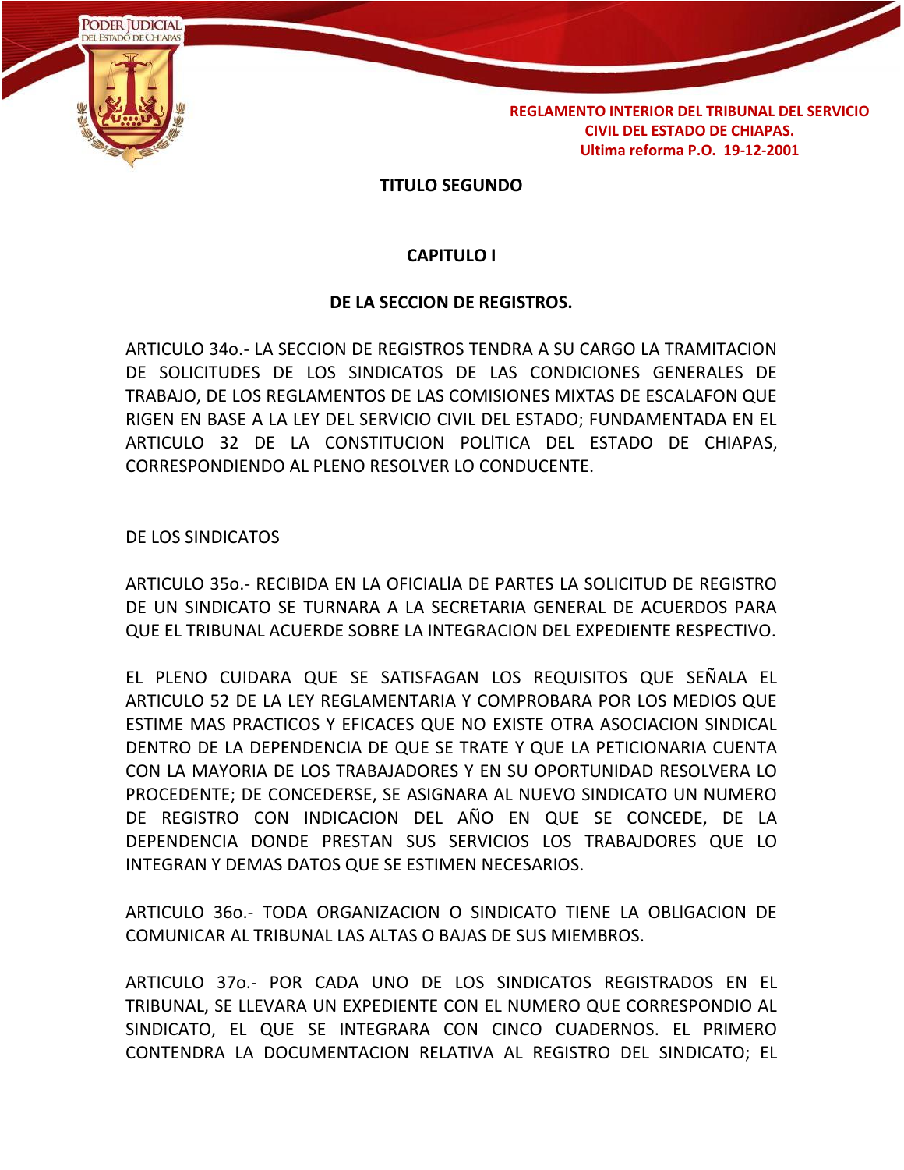

#### **TITULO SEGUNDO**

#### **CAPITULO I**

#### **DE LA SECCION DE REGISTROS.**

ARTICULO 34o.- LA SECCION DE REGISTROS TENDRA A SU CARGO LA TRAMITACION DE SOLICITUDES DE LOS SINDICATOS DE LAS CONDICIONES GENERALES DE TRABAJO, DE LOS REGLAMENTOS DE LAS COMISIONES MIXTAS DE ESCALAFON QUE RIGEN EN BASE A LA LEY DEL SERVICIO CIVIL DEL ESTADO; FUNDAMENTADA EN EL ARTICULO 32 DE LA CONSTITUCION POLlTICA DEL ESTADO DE CHIAPAS, CORRESPONDIENDO AL PLENO RESOLVER LO CONDUCENTE.

DE LOS SINDICATOS

ARTICULO 35o.- RECIBIDA EN LA OFICIALlA DE PARTES LA SOLICITUD DE REGISTRO DE UN SINDICATO SE TURNARA A LA SECRETARIA GENERAL DE ACUERDOS PARA QUE EL TRIBUNAL ACUERDE SOBRE LA INTEGRACION DEL EXPEDIENTE RESPECTIVO.

EL PLENO CUIDARA QUE SE SATISFAGAN LOS REQUISITOS QUE SEÑALA EL ARTICULO 52 DE LA LEY REGLAMENTARIA Y COMPROBARA POR LOS MEDIOS QUE ESTIME MAS PRACTICOS Y EFICACES QUE NO EXISTE OTRA ASOCIACION SINDICAL DENTRO DE LA DEPENDENCIA DE QUE SE TRATE Y QUE LA PETICIONARIA CUENTA CON LA MAYORIA DE LOS TRABAJADORES Y EN SU OPORTUNIDAD RESOLVERA LO PROCEDENTE; DE CONCEDERSE, SE ASIGNARA AL NUEVO SINDICATO UN NUMERO DE REGISTRO CON INDICACION DEL AÑO EN QUE SE CONCEDE, DE LA DEPENDENCIA DONDE PRESTAN SUS SERVICIOS LOS TRABAJDORES QUE LO INTEGRAN Y DEMAS DATOS QUE SE ESTIMEN NECESARIOS.

ARTICULO 36o.- TODA ORGANIZACION O SINDICATO TIENE LA OBLlGACION DE COMUNICAR AL TRIBUNAL LAS ALTAS O BAJAS DE SUS MIEMBROS.

ARTICULO 37o.- POR CADA UNO DE LOS SINDICATOS REGISTRADOS EN EL TRIBUNAL, SE LLEVARA UN EXPEDIENTE CON EL NUMERO QUE CORRESPONDIO AL SINDICATO, EL QUE SE INTEGRARA CON CINCO CUADERNOS. EL PRIMERO CONTENDRA LA DOCUMENTACION RELATIVA AL REGISTRO DEL SINDICATO; EL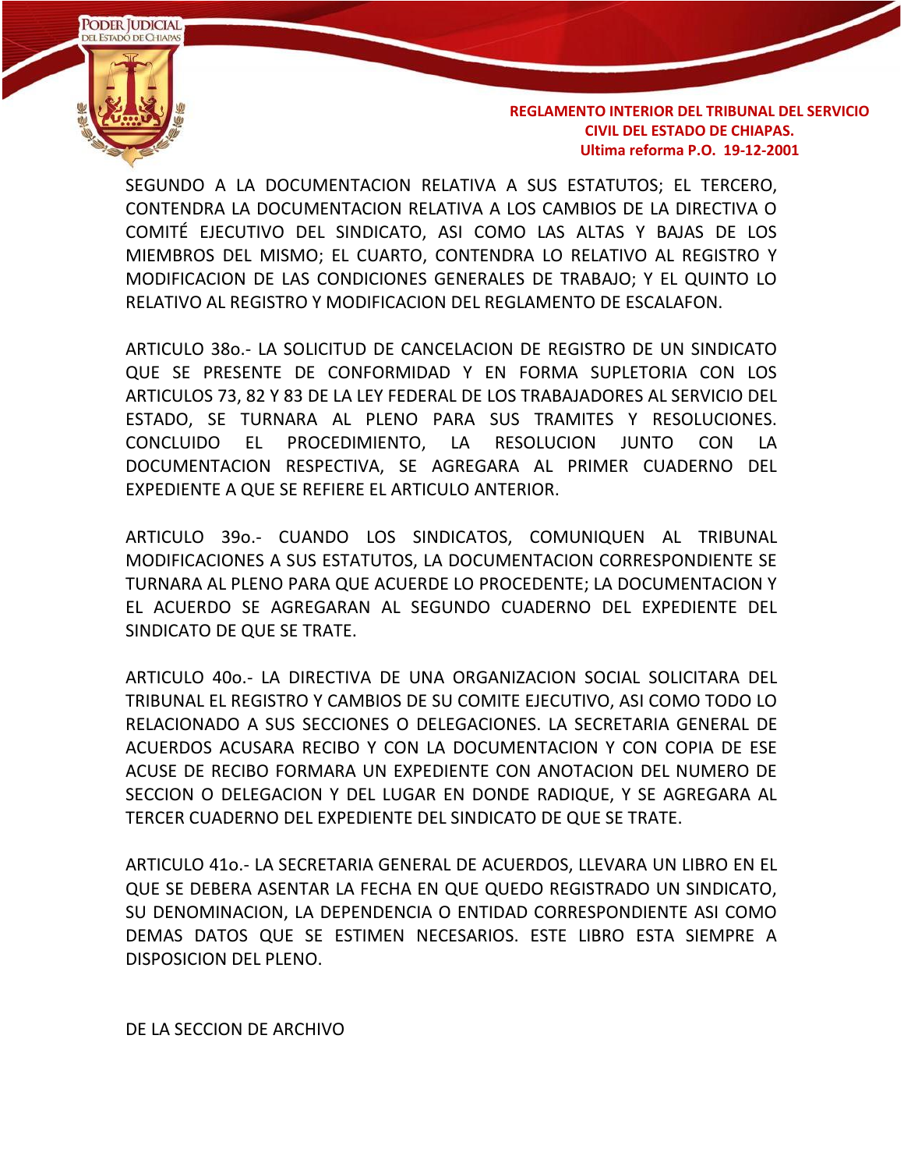

SEGUNDO A LA DOCUMENTACION RELATIVA A SUS ESTATUTOS; EL TERCERO, CONTENDRA LA DOCUMENTACION RELATIVA A LOS CAMBIOS DE LA DIRECTIVA O COMITÉ EJECUTIVO DEL SINDICATO, ASI COMO LAS ALTAS Y BAJAS DE LOS MIEMBROS DEL MISMO; EL CUARTO, CONTENDRA LO RELATIVO AL REGISTRO Y MODIFICACION DE LAS CONDICIONES GENERALES DE TRABAJO; Y EL QUINTO LO RELATIVO AL REGISTRO Y MODIFICACION DEL REGLAMENTO DE ESCALAFON.

ARTICULO 38o.- LA SOLICITUD DE CANCELACION DE REGISTRO DE UN SINDICATO QUE SE PRESENTE DE CONFORMIDAD Y EN FORMA SUPLETORIA CON LOS ARTICULOS 73, 82 Y 83 DE LA LEY FEDERAL DE LOS TRABAJADORES AL SERVICIO DEL ESTADO, SE TURNARA AL PLENO PARA SUS TRAMITES Y RESOLUCIONES. CONCLUIDO EL PROCEDIMIENTO, LA RESOLUCION JUNTO CON LA DOCUMENTACION RESPECTIVA, SE AGREGARA AL PRIMER CUADERNO DEL EXPEDIENTE A QUE SE REFIERE EL ARTICULO ANTERIOR.

ARTICULO 39o.- CUANDO LOS SINDICATOS, COMUNIQUEN AL TRIBUNAL MODIFICACIONES A SUS ESTATUTOS, LA DOCUMENTACION CORRESPONDIENTE SE TURNARA AL PLENO PARA QUE ACUERDE LO PROCEDENTE; LA DOCUMENTACION Y EL ACUERDO SE AGREGARAN AL SEGUNDO CUADERNO DEL EXPEDIENTE DEL SINDICATO DE QUE SE TRATE.

ARTICULO 40o.- LA DIRECTIVA DE UNA ORGANIZACION SOCIAL SOLICITARA DEL TRIBUNAL EL REGISTRO Y CAMBIOS DE SU COMITE EJECUTIVO, ASI COMO TODO LO RELACIONADO A SUS SECCIONES O DELEGACIONES. LA SECRETARIA GENERAL DE ACUERDOS ACUSARA RECIBO Y CON LA DOCUMENTACION Y CON COPIA DE ESE ACUSE DE RECIBO FORMARA UN EXPEDIENTE CON ANOTACION DEL NUMERO DE SECCION O DELEGACION Y DEL LUGAR EN DONDE RADIQUE, Y SE AGREGARA AL TERCER CUADERNO DEL EXPEDIENTE DEL SINDICATO DE QUE SE TRATE.

ARTICULO 41o.- LA SECRETARIA GENERAL DE ACUERDOS, LLEVARA UN LIBRO EN EL QUE SE DEBERA ASENTAR LA FECHA EN QUE QUEDO REGISTRADO UN SINDICATO, SU DENOMINACION, LA DEPENDENCIA O ENTIDAD CORRESPONDIENTE ASI COMO DEMAS DATOS QUE SE ESTIMEN NECESARIOS. ESTE LIBRO ESTA SIEMPRE A DISPOSICION DEL PLENO.

DE LA SECCION DE ARCHIVO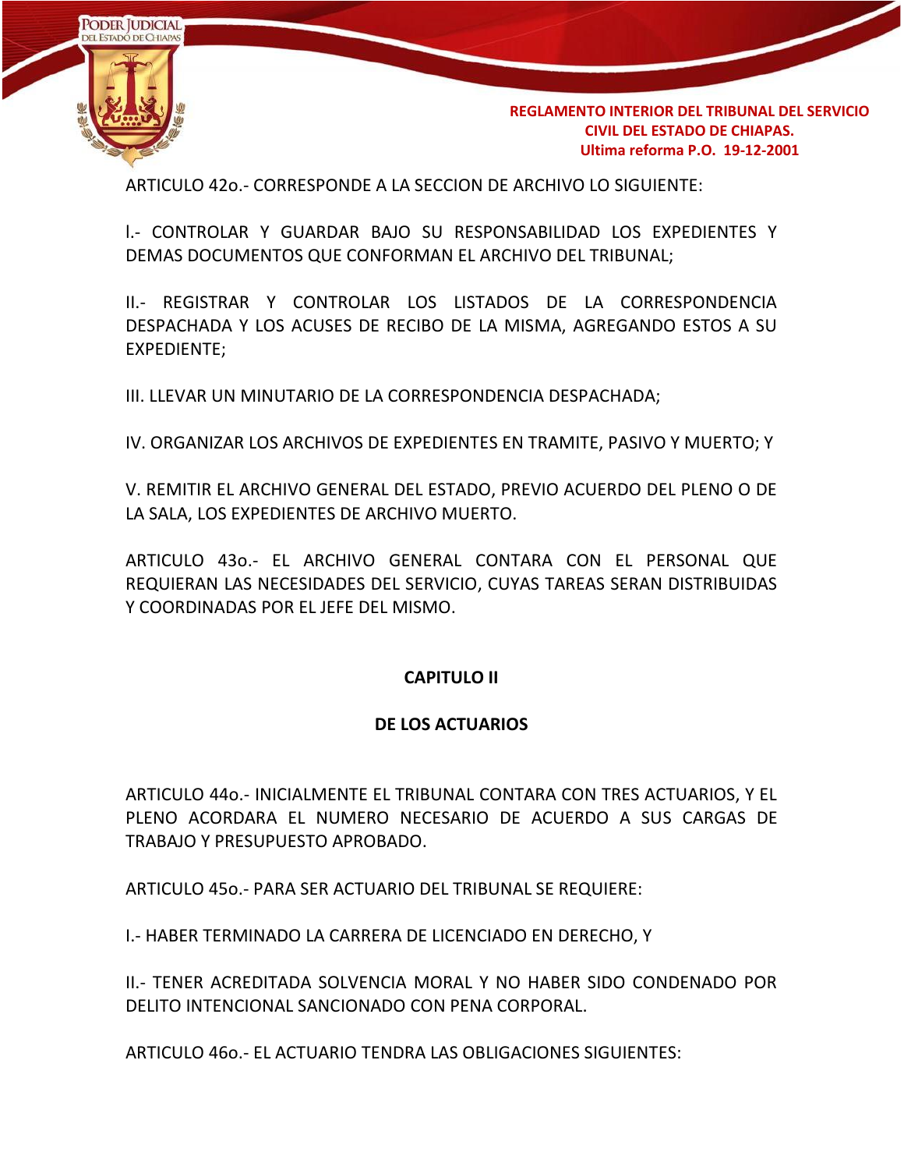

ARTICULO 42o.- CORRESPONDE A LA SECCION DE ARCHIVO LO SIGUIENTE:

l.- CONTROLAR Y GUARDAR BAJO SU RESPONSABILIDAD LOS EXPEDIENTES Y DEMAS DOCUMENTOS QUE CONFORMAN EL ARCHIVO DEL TRIBUNAL;

II.- REGISTRAR Y CONTROLAR LOS LISTADOS DE LA CORRESPONDENCIA DESPACHADA Y LOS ACUSES DE RECIBO DE LA MISMA, AGREGANDO ESTOS A SU EXPEDIENTE;

III. LLEVAR UN MINUTARIO DE LA CORRESPONDENCIA DESPACHADA;

IV. ORGANIZAR LOS ARCHIVOS DE EXPEDIENTES EN TRAMITE, PASIVO Y MUERTO; Y

V. REMITIR EL ARCHIVO GENERAL DEL ESTADO, PREVIO ACUERDO DEL PLENO O DE LA SALA, LOS EXPEDIENTES DE ARCHIVO MUERTO.

ARTICULO 43o.- EL ARCHIVO GENERAL CONTARA CON EL PERSONAL QUE REQUIERAN LAS NECESIDADES DEL SERVICIO, CUYAS TAREAS SERAN DISTRIBUIDAS Y COORDINADAS POR EL JEFE DEL MISMO.

### **CAPITULO II**

#### **DE LOS ACTUARIOS**

ARTICULO 44o.- INICIALMENTE EL TRIBUNAL CONTARA CON TRES ACTUARIOS, Y EL PLENO ACORDARA EL NUMERO NECESARIO DE ACUERDO A SUS CARGAS DE TRABAJO Y PRESUPUESTO APROBADO.

ARTICULO 45o.- PARA SER ACTUARIO DEL TRIBUNAL SE REQUIERE:

I.- HABER TERMINADO LA CARRERA DE LICENCIADO EN DERECHO, Y

II.- TENER ACREDITADA SOLVENCIA MORAL Y NO HABER SIDO CONDENADO POR DELITO INTENCIONAL SANCIONADO CON PENA CORPORAL.

ARTICULO 46o.- EL ACTUARIO TENDRA LAS OBLIGACIONES SIGUIENTES: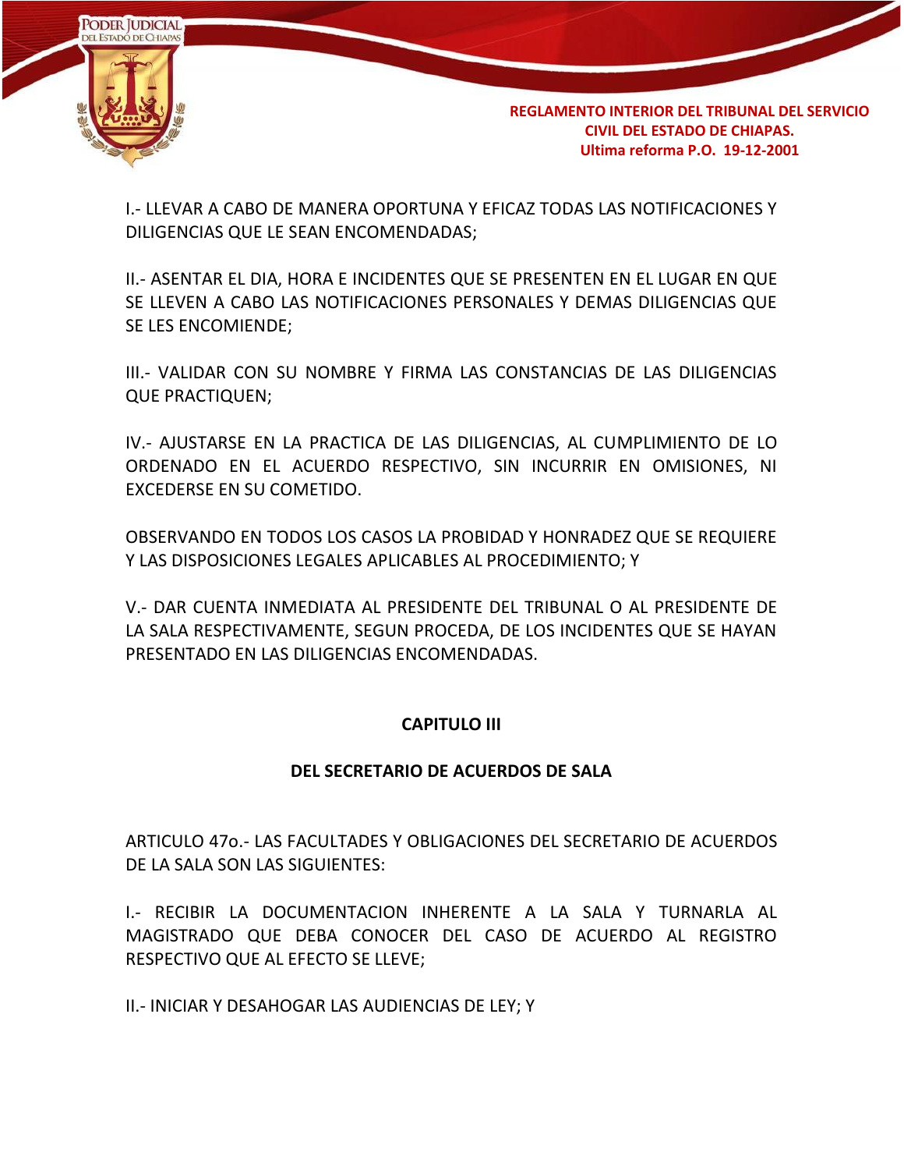

I.- LLEVAR A CABO DE MANERA OPORTUNA Y EFICAZ TODAS LAS NOTIFICACIONES Y DILIGENCIAS QUE LE SEAN ENCOMENDADAS;

II.- ASENTAR EL DIA, HORA E INCIDENTES QUE SE PRESENTEN EN EL LUGAR EN QUE SE LLEVEN A CABO LAS NOTIFICACIONES PERSONALES Y DEMAS DILIGENCIAS QUE SE LES ENCOMIENDE;

III.- VALIDAR CON SU NOMBRE Y FIRMA LAS CONSTANCIAS DE LAS DILIGENCIAS QUE PRACTIQUEN;

IV.- AJUSTARSE EN LA PRACTICA DE LAS DILIGENCIAS, AL CUMPLIMIENTO DE LO ORDENADO EN EL ACUERDO RESPECTIVO, SIN INCURRIR EN OMISIONES, NI EXCEDERSE EN SU COMETIDO.

OBSERVANDO EN TODOS LOS CASOS LA PROBIDAD Y HONRADEZ QUE SE REQUIERE Y LAS DISPOSICIONES LEGALES APLICABLES AL PROCEDIMIENTO; Y

V.- DAR CUENTA INMEDIATA AL PRESIDENTE DEL TRIBUNAL O AL PRESIDENTE DE LA SALA RESPECTIVAMENTE, SEGUN PROCEDA, DE LOS INCIDENTES QUE SE HAYAN PRESENTADO EN LAS DILIGENCIAS ENCOMENDADAS.

### **CAPITULO III**

### **DEL SECRETARIO DE ACUERDOS DE SALA**

ARTICULO 47o.- LAS FACULTADES Y OBLIGACIONES DEL SECRETARIO DE ACUERDOS DE LA SALA SON LAS SIGUIENTES:

I.- RECIBIR LA DOCUMENTACION INHERENTE A LA SALA Y TURNARLA AL MAGISTRADO QUE DEBA CONOCER DEL CASO DE ACUERDO AL REGISTRO RESPECTIVO QUE AL EFECTO SE LLEVE;

II.- INICIAR Y DESAHOGAR LAS AUDIENCIAS DE LEY; Y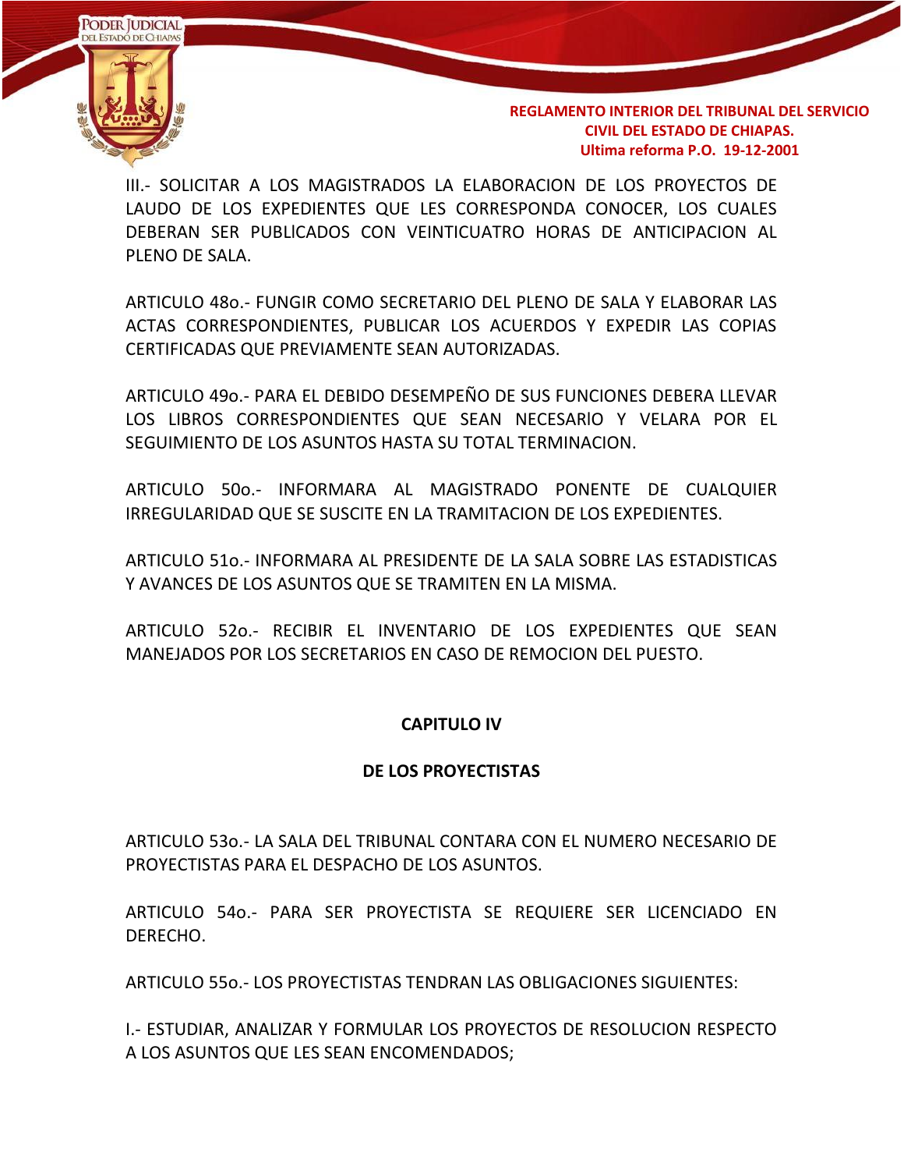

III.- SOLICITAR A LOS MAGISTRADOS LA ELABORACION DE LOS PROYECTOS DE LAUDO DE LOS EXPEDIENTES QUE LES CORRESPONDA CONOCER, LOS CUALES DEBERAN SER PUBLlCADOS CON VEINTICUATRO HORAS DE ANTICIPACION AL PLENO DE SALA.

ARTICULO 48o.- FUNGIR COMO SECRETARIO DEL PLENO DE SALA Y ELABORAR LAS ACTAS CORRESPONDIENTES, PUBLICAR LOS ACUERDOS Y EXPEDIR LAS COPIAS CERTIFICADAS QUE PREVIAMENTE SEAN AUTORIZADAS.

ARTICULO 49o.- PARA EL DEBIDO DESEMPEÑO DE SUS FUNCIONES DEBERA LLEVAR LOS LIBROS CORRESPONDIENTES QUE SEAN NECESARlO Y VELARA POR EL SEGUIMIENTO DE LOS ASUNTOS HASTA SU TOTAL TERMINACION.

ARTICULO 50o.- INFORMARA AL MAGISTRADO PONENTE DE CUALQUIER IRREGULARIDAD QUE SE SUSCITE EN LA TRAMITACION DE LOS EXPEDIENTES.

ARTICULO 51o.- INFORMARA AL PRESIDENTE DE LA SALA SOBRE LAS ESTADISTICAS Y AVANCES DE LOS ASUNTOS QUE SE TRAMITEN EN LA MISMA.

ARTICULO 52o.- RECIBIR EL INVENTARIO DE LOS EXPEDIENTES QUE SEAN MANEJADOS POR LOS SECRETARIOS EN CASO DE REMOCION DEL PUESTO.

### **CAPITULO IV**

#### **DE LOS PROYECTISTAS**

ARTICULO 53o.- LA SALA DEL TRIBUNAL CONTARA CON EL NUMERO NECESARIO DE PROYECTISTAS PARA EL DESPACHO DE LOS ASUNTOS.

ARTICULO 54o.- PARA SER PROYECTISTA SE REQUIERE SER LICENCIADO EN DERECHO.

ARTICULO 55o.- LOS PROYECTISTAS TENDRAN LAS OBLIGACIONES SIGUIENTES:

I.- ESTUDIAR, ANALIZAR Y FORMULAR LOS PROYECTOS DE RESOLUCION RESPECTO A LOS ASUNTOS QUE LES SEAN ENCOMENDADOS;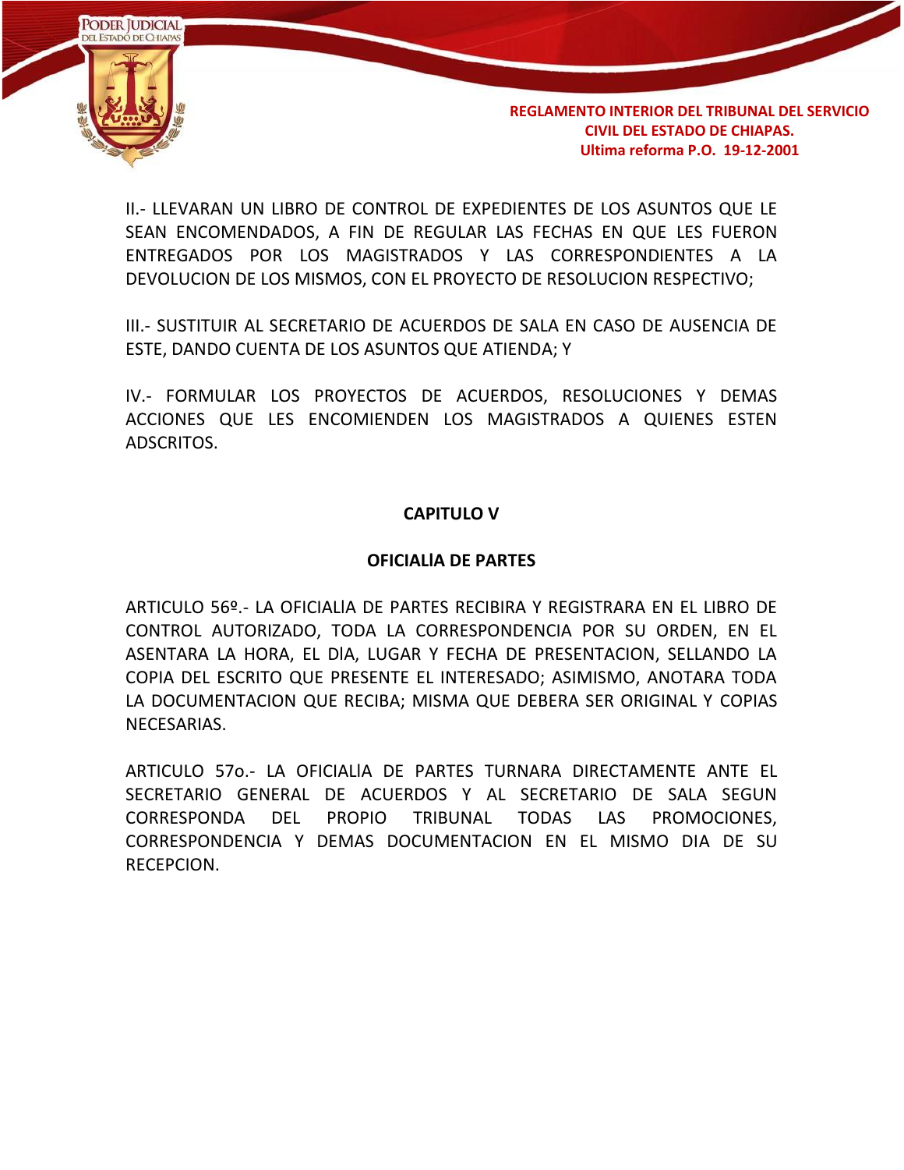

II.- LLEVARAN UN LIBRO DE CONTROL DE EXPEDIENTES DE LOS ASUNTOS QUE LE SEAN ENCOMENDADOS, A FIN DE REGULAR LAS FECHAS EN QUE LES FUERON ENTREGADOS POR LOS MAGISTRADOS Y LAS CORRESPONDIENTES A LA DEVOLUCION DE LOS MISMOS, CON EL PROYECTO DE RESOLUCION RESPECTIVO;

III.- SUSTITUIR AL SECRETARIO DE ACUERDOS DE SALA EN CASO DE AUSENCIA DE ESTE, DANDO CUENTA DE LOS ASUNTOS QUE ATIENDA; Y

IV.- FORMULAR LOS PROYECTOS DE ACUERDOS, RESOLUCIONES Y DEMAS ACCIONES QUE LES ENCOMIENDEN LOS MAGISTRADOS A QUIENES ESTEN ADSCRITOS.

#### **CAPITULO V**

#### **OFICIALlA DE PARTES**

ARTICULO 56º.- LA OFICIALlA DE PARTES RECIBIRA Y REGISTRARA EN EL LIBRO DE CONTROL AUTORIZADO, TODA LA CORRESPONDENCIA POR SU ORDEN, EN EL ASENTARA LA HORA, EL DlA, LUGAR Y FECHA DE PRESENTACION, SELLANDO LA COPIA DEL ESCRITO QUE PRESENTE EL INTERESADO; ASIMISMO, ANOTARA TODA LA DOCUMENTACION QUE RECIBA; MISMA QUE DEBERA SER ORIGINAL Y COPIAS NECESARIAS.

ARTICULO 57o.- LA OFICIALlA DE PARTES TURNARA DIRECTAMENTE ANTE EL SECRETARIO GENERAL DE ACUERDOS Y AL SECRETARIO DE SALA SEGUN CORRESPONDA DEL PROPIO TRIBUNAL TODAS LAS PROMOCIONES, CORRESPONDENCIA Y DEMAS DOCUMENTACION EN EL MISMO DIA DE SU RECEPCION.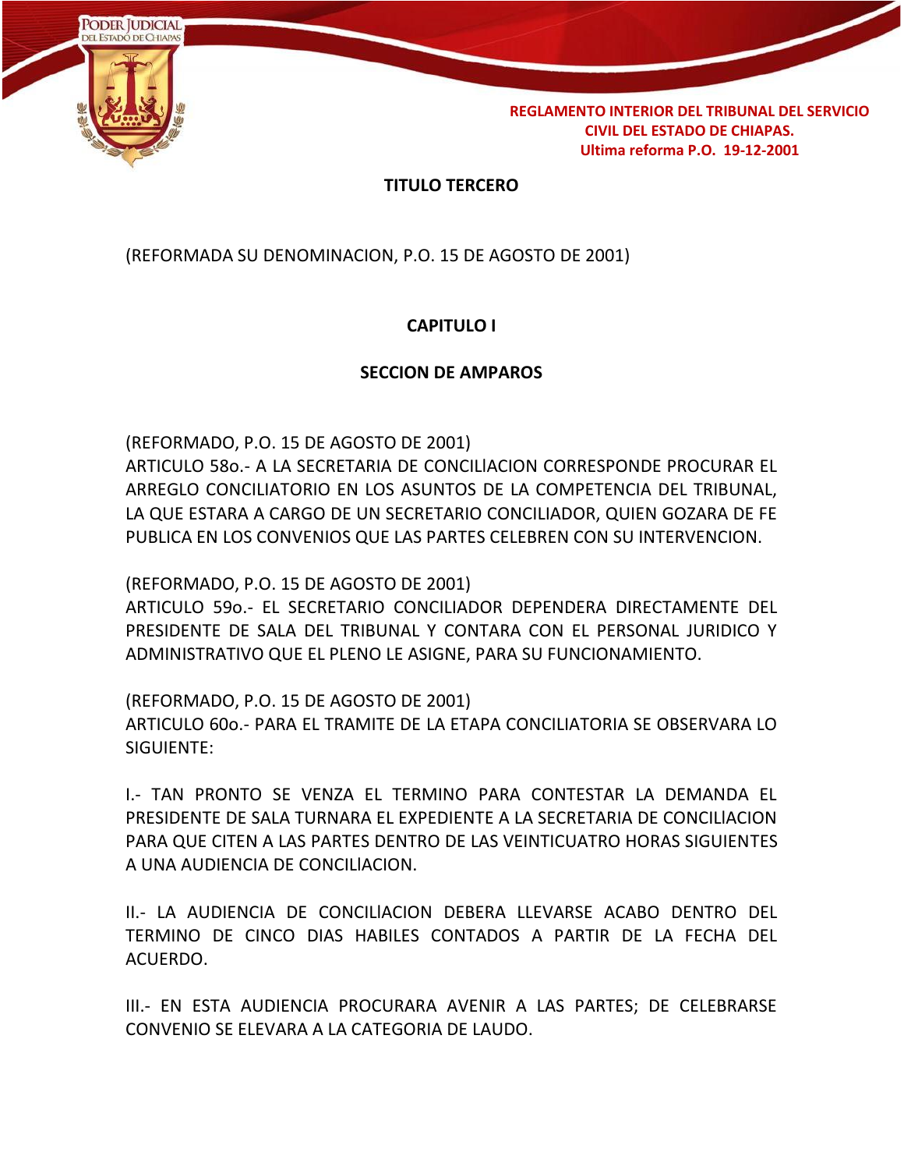

### **TITULO TERCERO**

(REFORMADA SU DENOMINACION, P.O. 15 DE AGOSTO DE 2001)

## **CAPITULO I**

#### **SECCION DE AMPAROS**

(REFORMADO, P.O. 15 DE AGOSTO DE 2001)

ARTICULO 58o.- A LA SECRETARIA DE CONCILlACION CORRESPONDE PROCURAR EL ARREGLO CONCILIATORIO EN LOS ASUNTOS DE LA COMPETENCIA DEL TRIBUNAL, LA QUE ESTARA A CARGO DE UN SECRETARIO CONCILIADOR, QUIEN GOZARA DE FE PUBLICA EN LOS CONVENIOS QUE LAS PARTES CELEBREN CON SU INTERVENCION.

(REFORMADO, P.O. 15 DE AGOSTO DE 2001)

ARTICULO 59o.- EL SECRETARIO CONCILIADOR DEPENDERA DIRECTAMENTE DEL PRESIDENTE DE SALA DEL TRIBUNAL Y CONTARA CON EL PERSONAL JURIDICO Y ADMINISTRATIVO QUE EL PLENO LE ASIGNE, PARA SU FUNCIONAMIENTO.

(REFORMADO, P.O. 15 DE AGOSTO DE 2001) ARTICULO 60o.- PARA EL TRAMITE DE LA ETAPA CONCILIATORIA SE OBSERVARA LO SIGUIENTE:

I.- TAN PRONTO SE VENZA EL TERMINO PARA CONTESTAR LA DEMANDA EL PRESIDENTE DE SALA TURNARA EL EXPEDIENTE A LA SECRETARIA DE CONCILlACION PARA QUE CITEN A LAS PARTES DENTRO DE LAS VEINTICUATRO HORAS SIGUIENTES A UNA AUDIENCIA DE CONCILlACION.

II.- LA AUDIENCIA DE CONCILlACION DEBERA LLEVARSE ACABO DENTRO DEL TERMINO DE CINCO DIAS HABILES CONTADOS A PARTIR DE LA FECHA DEL ACUERDO.

III.- EN ESTA AUDIENCIA PROCURARA AVENIR A LAS PARTES; DE CELEBRARSE CONVENIO SE ELEVARA A LA CATEGORIA DE LAUDO.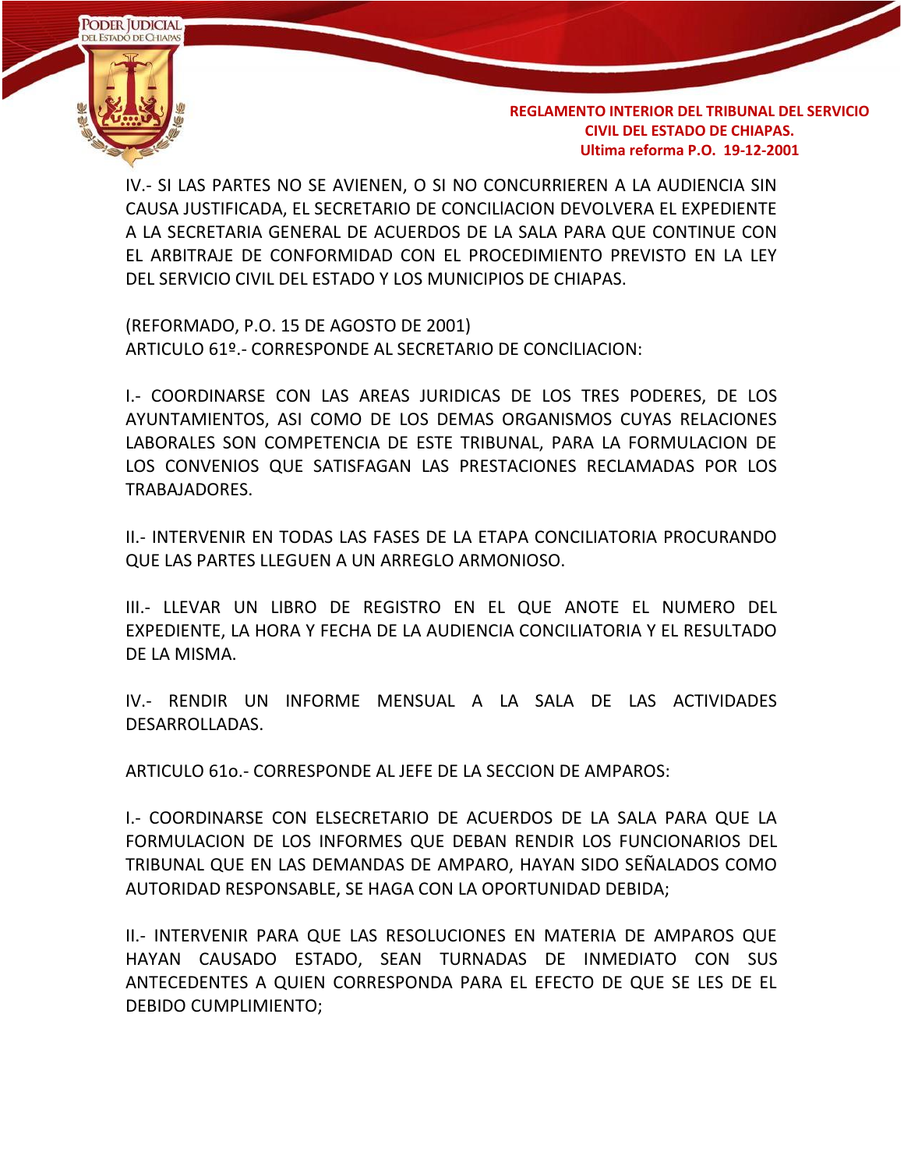

IV.- SI LAS PARTES NO SE AVIENEN, O SI NO CONCURRIEREN A LA AUDIENCIA SIN CAUSA JUSTIFICADA, EL SECRETARIO DE CONCILlACION DEVOLVERA EL EXPEDIENTE A LA SECRETARIA GENERAL DE ACUERDOS DE LA SALA PARA QUE CONTINUE CON EL ARBITRAJE DE CONFORMIDAD CON EL PROCEDIMIENTO PREVISTO EN LA LEY DEL SERVICIO CIVIL DEL ESTADO Y LOS MUNICIPIOS DE CHIAPAS.

(REFORMADO, P.O. 15 DE AGOSTO DE 2001) ARTICULO 61º.- CORRESPONDE AL SECRETARIO DE CONClLIACION:

I.- COORDINARSE CON LAS AREAS JURIDICAS DE LOS TRES PODERES, DE LOS AYUNTAMIENTOS, ASI COMO DE LOS DEMAS ORGANISMOS CUYAS RELACIONES LABORALES SON COMPETENCIA DE ESTE TRIBUNAL, PARA LA FORMULACION DE LOS CONVENIOS QUE SATISFAGAN LAS PRESTACIONES RECLAMADAS POR LOS TRABAJADORES.

II.- INTERVENIR EN TODAS LAS FASES DE LA ETAPA CONCILIATORIA PROCURANDO QUE LAS PARTES LLEGUEN A UN ARREGLO ARMONIOSO.

III.- LLEVAR UN LIBRO DE REGISTRO EN EL QUE ANOTE EL NUMERO DEL EXPEDIENTE, LA HORA Y FECHA DE LA AUDIENCIA CONCILIATORIA Y EL RESULTADO DE LA MISMA.

IV.- RENDIR UN INFORME MENSUAL A LA SALA DE LAS ACTIVIDADES DESARROLLADAS.

ARTICULO 61o.- CORRESPONDE AL JEFE DE LA SECCION DE AMPAROS:

I.- COORDINARSE CON ELSECRETARIO DE ACUERDOS DE LA SALA PARA QUE LA FORMULACION DE LOS INFORMES QUE DEBAN RENDIR LOS FUNCIONARIOS DEL TRIBUNAL QUE EN LAS DEMANDAS DE AMPARO, HAYAN SIDO SEÑALADOS COMO AUTORIDAD RESPONSABLE, SE HAGA CON LA OPORTUNIDAD DEBIDA;

II.- INTERVENIR PARA QUE LAS RESOLUCIONES EN MATERIA DE AMPAROS QUE HAYAN CAUSADO ESTADO, SEAN TURNADAS DE INMEDIATO CON SUS ANTECEDENTES A QUIEN CORRESPONDA PARA EL EFECTO DE QUE SE LES DE EL DEBIDO CUMPLIMIENTO;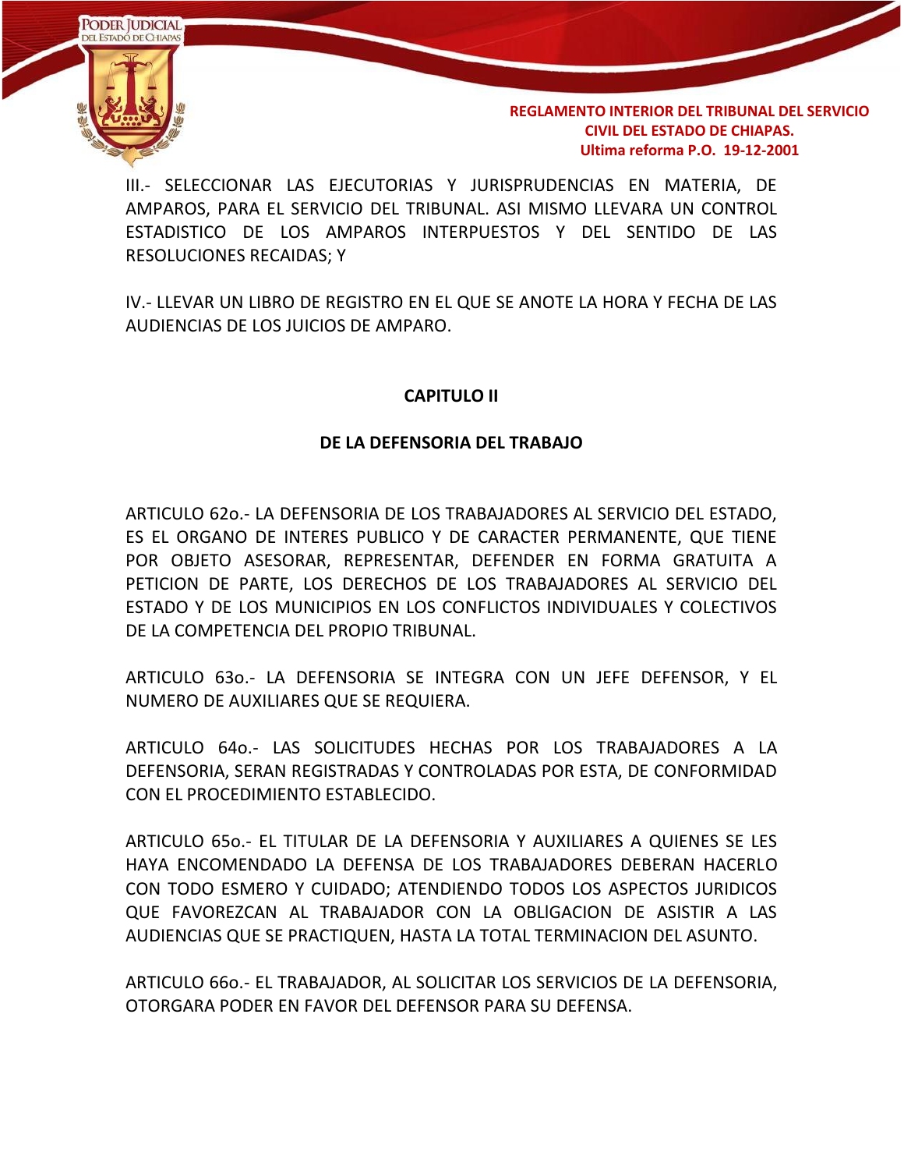

III.- SELECCIONAR LAS EJECUTORIAS Y JURISPRUDENCIAS EN MATERIA, DE AMPAROS, PARA EL SERVICIO DEL TRIBUNAL. ASI MISMO LLEVARA UN CONTROL ESTADISTICO DE LOS AMPAROS INTERPUESTOS Y DEL SENTIDO DE LAS RESOLUCIONES RECAIDAS; Y

IV.- LLEVAR UN LIBRO DE REGISTRO EN EL QUE SE ANOTE LA HORA Y FECHA DE LAS AUDIENCIAS DE LOS JUICIOS DE AMPARO.

### **CAPITULO II**

#### **DE LA DEFENSORIA DEL TRABAJO**

ARTICULO 62o.- LA DEFENSORIA DE LOS TRABAJADORES AL SERVICIO DEL ESTADO, ES EL ORGANO DE INTERES PUBLICO Y DE CARACTER PERMANENTE, QUE TIENE POR OBJETO ASESORAR, REPRESENTAR, DEFENDER EN FORMA GRATUITA A PETICION DE PARTE, LOS DERECHOS DE LOS TRABAJADORES AL SERVICIO DEL ESTADO Y DE LOS MUNICIPIOS EN LOS CONFLICTOS INDIVIDUALES Y COLECTIVOS DE LA COMPETENCIA DEL PROPIO TRIBUNAL.

ARTICULO 63o.- LA DEFENSORIA SE INTEGRA CON UN JEFE DEFENSOR, Y EL NUMERO DE AUXILIARES QUE SE REQUIERA.

ARTICULO 64o.- LAS SOLICITUDES HECHAS POR LOS TRABAJADORES A LA DEFENSORIA, SERAN REGISTRADAS Y CONTROLADAS POR ESTA, DE CONFORMIDAD CON EL PROCEDIMIENTO ESTABLECIDO.

ARTICULO 65o.- EL TITULAR DE LA DEFENSORIA Y AUXILIARES A QUIENES SE LES HAYA ENCOMENDADO LA DEFENSA DE LOS TRABAJADORES DEBERAN HACERLO CON TODO ESMERO Y CUIDADO; ATENDIENDO TODOS LOS ASPECTOS JURIDICOS QUE FAVOREZCAN AL TRABAJADOR CON LA OBLlGACION DE ASISTIR A LAS AUDIENCIAS QUE SE PRACTIQUEN, HASTA LA TOTAL TERMINACION DEL ASUNTO.

ARTICULO 66o.- EL TRABAJADOR, AL SOLICITAR LOS SERVICIOS DE LA DEFENSORIA, OTORGARA PODER EN FAVOR DEL DEFENSOR PARA SU DEFENSA.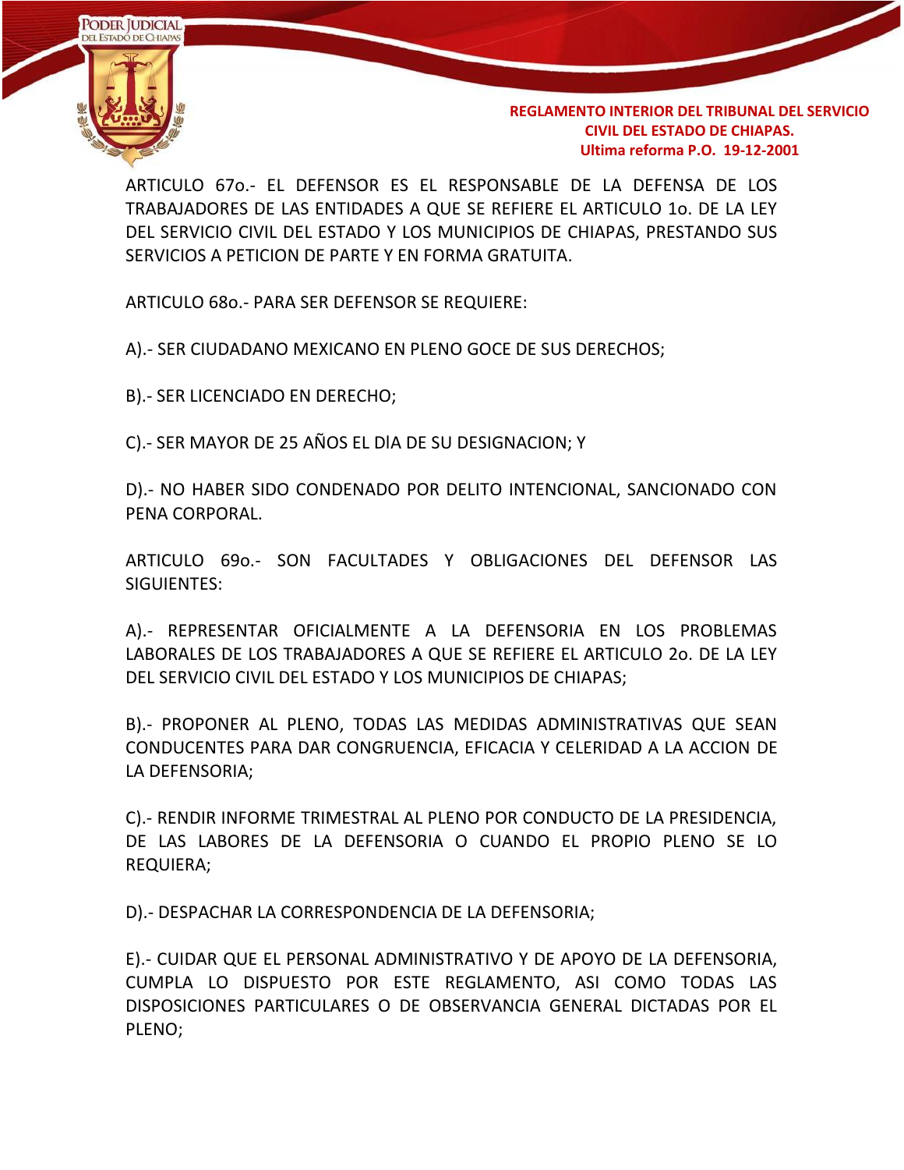

ARTICULO 67o.- EL DEFENSOR ES EL RESPONSABLE DE LA DEFENSA DE LOS TRABAJADORES DE LAS ENTIDADES A QUE SE REFIERE EL ARTICULO 1o. DE LA LEY DEL SERVICIO CIVIL DEL ESTADO Y LOS MUNICIPIOS DE CHIAPAS, PRESTANDO SUS SERVICIOS A PETICION DE PARTE Y EN FORMA GRATUITA.

ARTICULO 68o.- PARA SER DEFENSOR SE REQUIERE:

A).- SER CIUDADANO MEXICANO EN PLENO GOCE DE SUS DERECHOS;

B).- SER LICENCIADO EN DERECHO;

C).- SER MAYOR DE 25 AÑOS EL DlA DE SU DESIGNACION; Y

D).- NO HABER SIDO CONDENADO POR DELITO INTENCIONAL, SANCIONADO CON PENA CORPORAL.

ARTICULO 69o.- SON FACULTADES Y OBLIGACIONES DEL DEFENSOR LAS SIGUIENTES:

A).- REPRESENTAR OFICIALMENTE A LA DEFENSORIA EN LOS PROBLEMAS LABORALES DE LOS TRABAJADORES A QUE SE REFIERE EL ARTICULO 2o. DE LA LEY DEL SERVICIO CIVIL DEL ESTADO Y LOS MUNICIPIOS DE CHIAPAS;

B).- PROPONER AL PLENO, TODAS LAS MEDIDAS ADMINISTRATIVAS QUE SEAN CONDUCENTES PARA DAR CONGRUENCIA, EFICACIA Y CELERIDAD A LA ACCION DE LA DEFENSORIA;

C).- RENDIR INFORME TRIMESTRAL AL PLENO POR CONDUCTO DE LA PRESIDENCIA, DE LAS LABORES DE LA DEFENSORIA O CUANDO EL PROPIO PLENO SE LO REQUIERA;

D).- DESPACHAR LA CORRESPONDENCIA DE LA DEFENSORIA;

E).- CUIDAR QUE EL PERSONAL ADMINISTRATIVO Y DE APOYO DE LA DEFENSORIA, CUMPLA LO DISPUESTO POR ESTE REGLAMENTO, ASI COMO TODAS LAS DISPOSICIONES PARTICULARES O DE OBSERVANCIA GENERAL DICTADAS POR EL PLENO;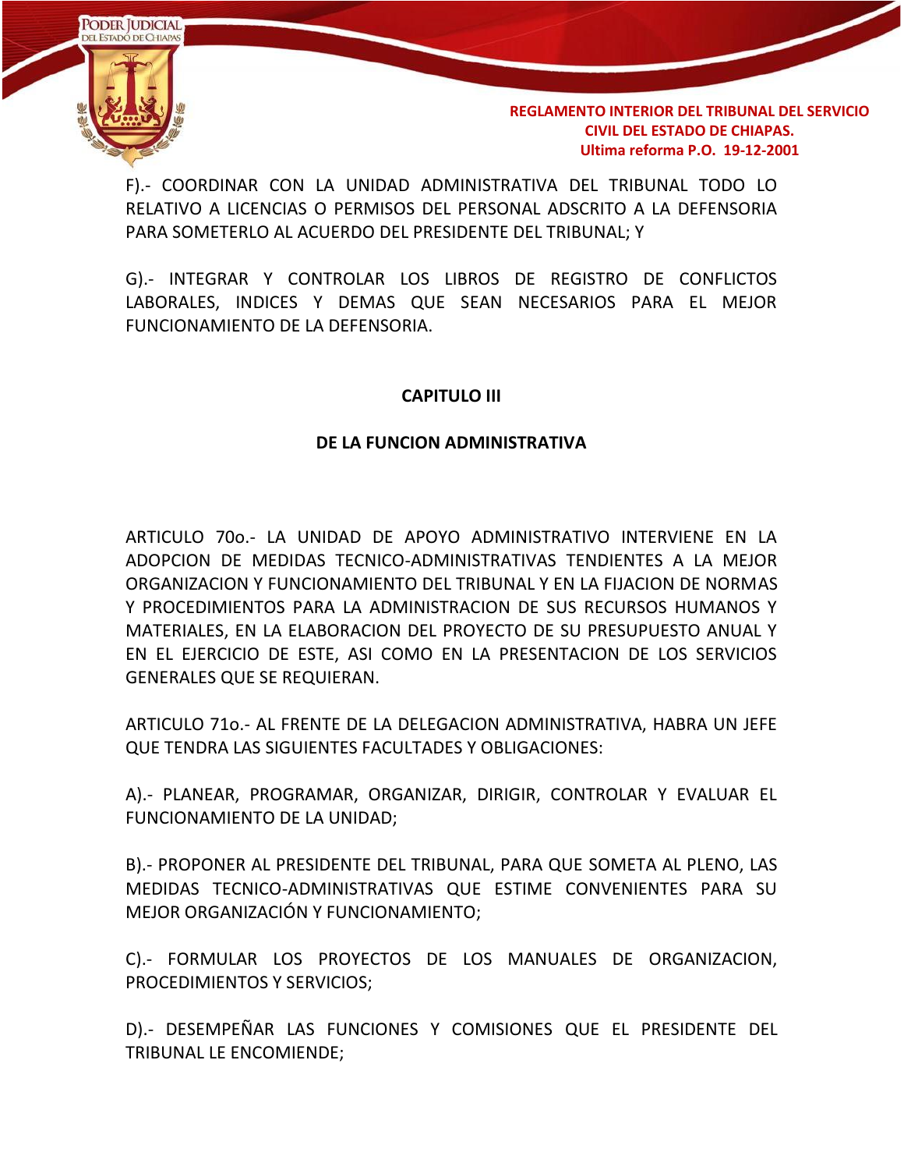

F).- COORDINAR CON LA UNIDAD ADMINISTRATIVA DEL TRIBUNAL TODO LO RELATIVO A LICENCIAS O PERMISOS DEL PERSONAL ADSCRITO A LA DEFENSORIA PARA SOMETERLO AL ACUERDO DEL PRESIDENTE DEL TRIBUNAL; Y

G).- INTEGRAR Y CONTROLAR LOS LIBROS DE REGISTRO DE CONFLICTOS LABORALES, INDICES Y DEMAS QUE SEAN NECESARIOS PARA EL MEJOR FUNCIONAMIENTO DE LA DEFENSORIA.

### **CAPITULO III**

#### **DE LA FUNCION ADMINISTRATIVA**

ARTICULO 70o.- LA UNIDAD DE APOYO ADMINISTRATIVO INTERVIENE EN LA ADOPCION DE MEDIDAS TECNICO-ADMINISTRATIVAS TENDIENTES A LA MEJOR ORGANIZACION Y FUNCIONAMIENTO DEL TRIBUNAL Y EN LA FIJACION DE NORMAS Y PROCEDIMIENTOS PARA LA ADMINISTRACION DE SUS RECURSOS HUMANOS Y MATERIALES, EN LA ELABORACION DEL PROYECTO DE SU PRESUPUESTO ANUAL Y EN EL EJERCICIO DE ESTE, ASI COMO EN LA PRESENTACION DE LOS SERVICIOS GENERALES QUE SE REQUIERAN.

ARTICULO 71o.- AL FRENTE DE LA DELEGACION ADMINISTRATIVA, HABRA UN JEFE QUE TENDRA LAS SIGUIENTES FACULTADES Y OBLIGACIONES:

A).- PLANEAR, PROGRAMAR, ORGANIZAR, DIRIGIR, CONTROLAR Y EVALUAR EL FUNCIONAMIENTO DE LA UNIDAD;

B).- PROPONER AL PRESIDENTE DEL TRIBUNAL, PARA QUE SOMETA AL PLENO, LAS MEDIDAS TECNICO-ADMINISTRATIVAS QUE ESTIME CONVENIENTES PARA SU MEJOR ORGANIZACIÓN Y FUNCIONAMIENTO;

C).- FORMULAR LOS PROYECTOS DE LOS MANUALES DE ORGANIZACION, PROCEDIMIENTOS Y SERVICIOS;

D).- DESEMPEÑAR LAS FUNCIONES Y COMISIONES QUE EL PRESIDENTE DEL TRIBUNAL LE ENCOMIENDE;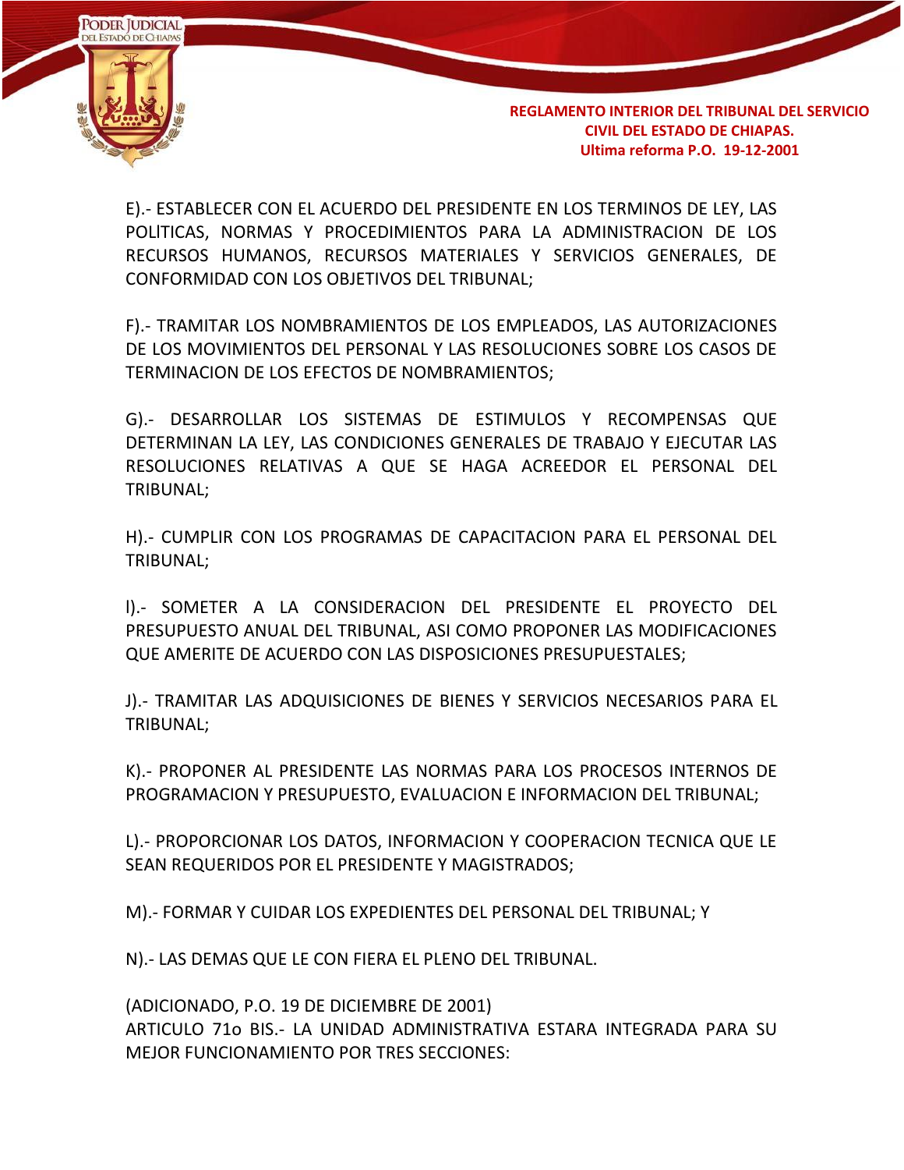

E).- ESTABLECER CON EL ACUERDO DEL PRESIDENTE EN LOS TERMINOS DE LEY, LAS POLlTICAS, NORMAS Y PROCEDIMIENTOS PARA LA ADMINISTRACION DE LOS RECURSOS HUMANOS, RECURSOS MATERIALES Y SERVICIOS GENERALES, DE CONFORMIDAD CON LOS OBJETIVOS DEL TRIBUNAL;

F).- TRAMITAR LOS NOMBRAMIENTOS DE LOS EMPLEADOS, LAS AUTORIZACIONES DE LOS MOVIMIENTOS DEL PERSONAL Y LAS RESOLUCIONES SOBRE LOS CASOS DE TERMINACION DE LOS EFECTOS DE NOMBRAMIENTOS;

G).- DESARROLLAR LOS SISTEMAS DE ESTIMULOS Y RECOMPENSAS QUE DETERMINAN LA LEY, LAS CONDICIONES GENERALES DE TRABAJO Y EJECUTAR LAS RESOLUCIONES RELATIVAS A QUE SE HAGA ACREEDOR EL PERSONAL DEL TRIBUNAL;

H).- CUMPLIR CON LOS PROGRAMAS DE CAPACITACION PARA EL PERSONAL DEL TRIBUNAL;

l).- SOMETER A LA CONSIDERACION DEL PRESIDENTE EL PROYECTO DEL PRESUPUESTO ANUAL DEL TRIBUNAL, ASI COMO PROPONER LAS MODIFICACIONES QUE AMERITE DE ACUERDO CON LAS DISPOSICIONES PRESUPUESTALES;

J).- TRAMITAR LAS ADQUISICIONES DE BIENES Y SERVICIOS NECESARIOS PARA EL TRIBUNAL;

K).- PROPONER AL PRESIDENTE LAS NORMAS PARA LOS PROCESOS INTERNOS DE PROGRAMACION Y PRESUPUESTO, EVALUACION E INFORMACION DEL TRIBUNAL;

L).- PROPORCIONAR LOS DATOS, INFORMACION Y COOPERACION TECNICA QUE LE SEAN REQUERIDOS POR EL PRESIDENTE Y MAGISTRADOS;

M).- FORMAR Y CUIDAR LOS EXPEDIENTES DEL PERSONAL DEL TRIBUNAL; Y

N).- LAS DEMAS QUE LE CON FIERA EL PLENO DEL TRIBUNAL.

(ADICIONADO, P.O. 19 DE DICIEMBRE DE 2001) ARTICULO 71o BIS.- LA UNIDAD ADMINISTRATIVA ESTARA INTEGRADA PARA SU MEJOR FUNCIONAMIENTO POR TRES SECCIONES: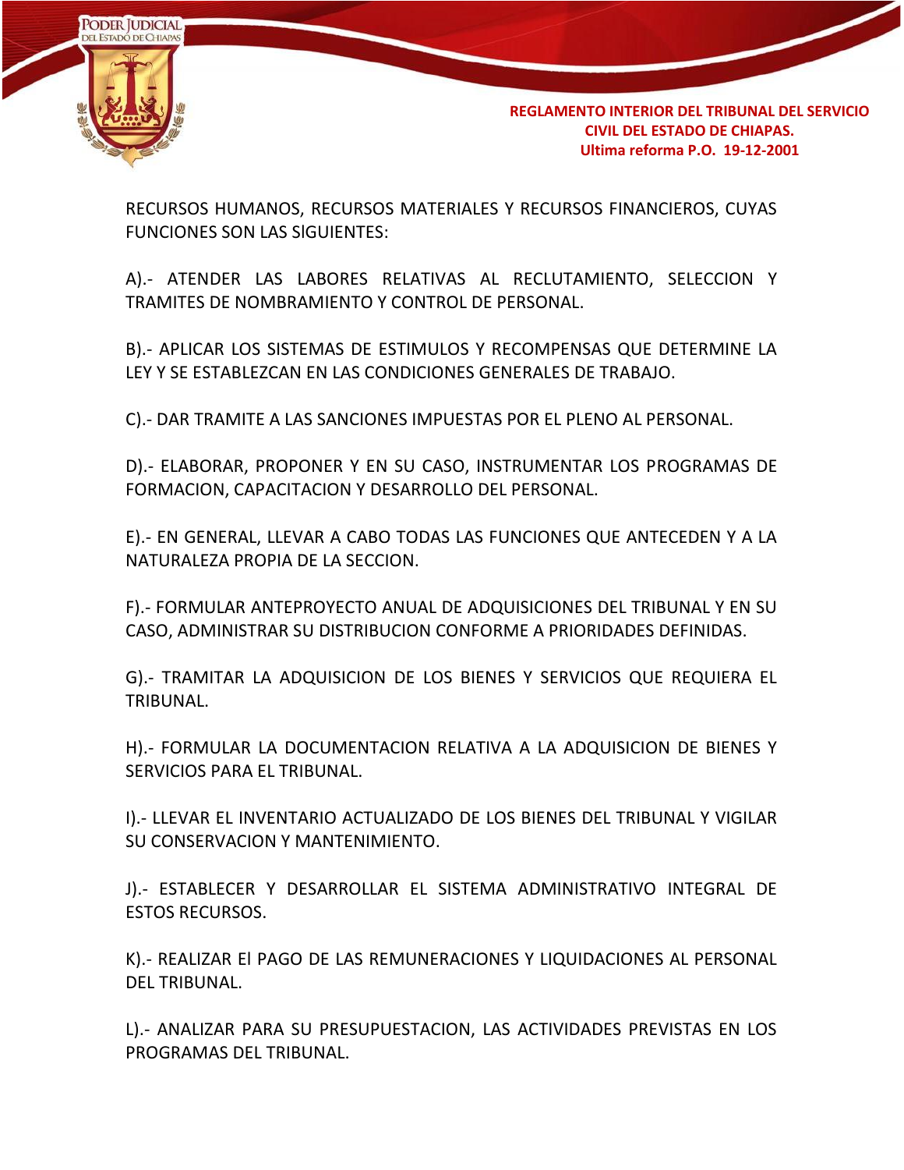

RECURSOS HUMANOS, RECURSOS MATERIALES Y RECURSOS FINANCIEROS, CUYAS FUNCIONES SON LAS SlGUIENTES:

A).- ATENDER LAS LABORES RELATIVAS AL RECLUTAMIENTO, SELECCION Y TRAMITES DE NOMBRAMIENTO Y CONTROL DE PERSONAL.

B).- APLICAR LOS SISTEMAS DE ESTIMULOS Y RECOMPENSAS QUE DETERMINE LA LEY Y SE ESTABLEZCAN EN LAS CONDICIONES GENERALES DE TRABAJO.

C).- DAR TRAMITE A LAS SANCIONES IMPUESTAS POR EL PLENO AL PERSONAL.

D).- ELABORAR, PROPONER Y EN SU CASO, INSTRUMENTAR LOS PROGRAMAS DE FORMACION, CAPACITACION Y DESARROLLO DEL PERSONAL.

E).- EN GENERAL, LLEVAR A CABO TODAS LAS FUNCIONES QUE ANTECEDEN Y A LA NATURALEZA PROPIA DE LA SECCION.

F).- FORMULAR ANTEPROYECTO ANUAL DE ADQUISICIONES DEL TRIBUNAL Y EN SU CASO, ADMINISTRAR SU DISTRIBUCION CONFORME A PRIORIDADES DEFINIDAS.

G).- TRAMITAR LA ADQUISICION DE LOS BIENES Y SERVICIOS QUE REQUIERA EL TRIBUNAL.

H).- FORMULAR LA DOCUMENTACION RELATIVA A LA ADQUISICION DE BIENES Y SERVICIOS PARA EL TRIBUNAL.

I).- LLEVAR EL INVENTARIO ACTUALIZADO DE LOS BIENES DEL TRIBUNAL Y VIGILAR SU CONSERVACION Y MANTENIMIENTO.

J).- ESTABLECER Y DESARROLLAR EL SISTEMA ADMINISTRATIVO INTEGRAL DE ESTOS RECURSOS.

K).- REALIZAR El PAGO DE LAS REMUNERACIONES Y LIQUIDACIONES AL PERSONAL DEL TRIBUNAL.

L).- ANALIZAR PARA SU PRESUPUESTACION, LAS ACTIVIDADES PREVISTAS EN LOS PROGRAMAS DEL TRIBUNAL.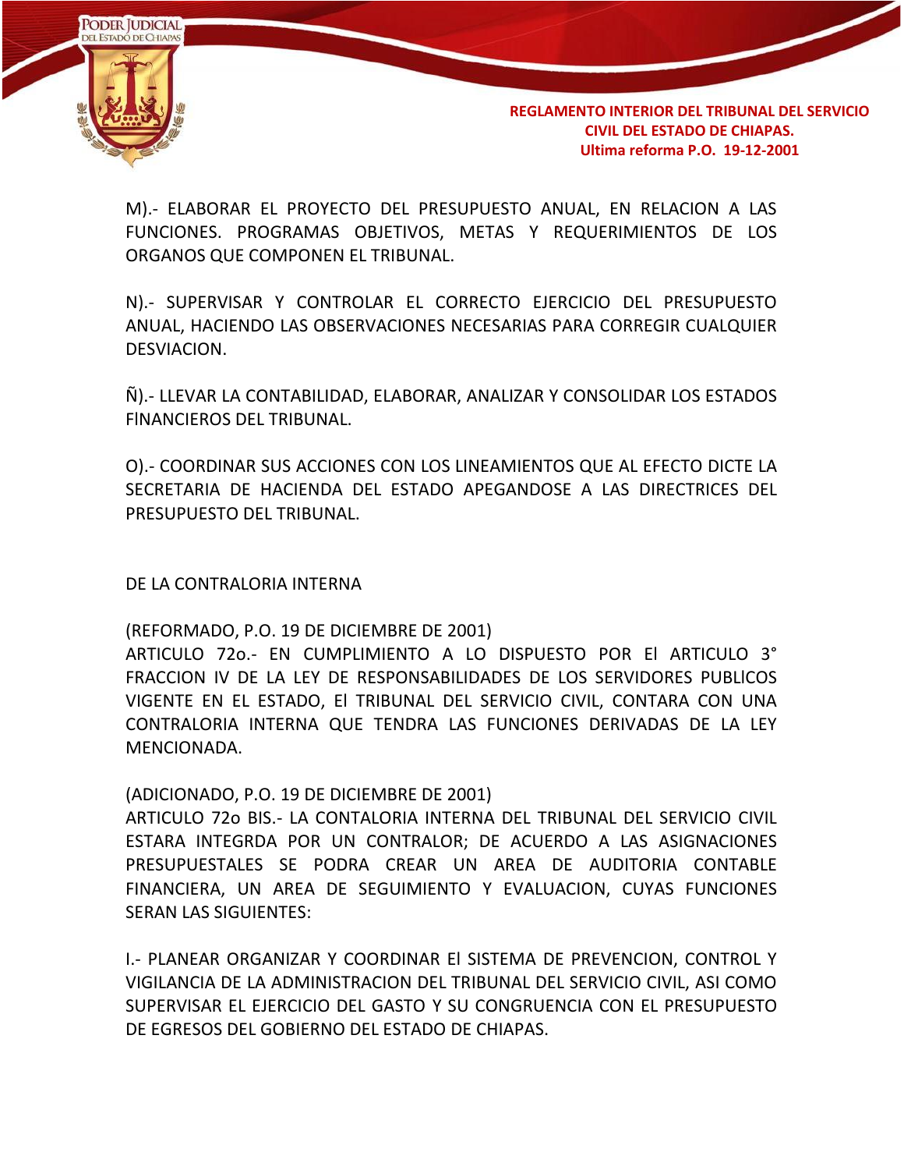

M).- ELABORAR EL PROYECTO DEL PRESUPUESTO ANUAL, EN RELACION A LAS FUNCIONES. PROGRAMAS OBJETIVOS, METAS Y REQUERIMIENTOS DE LOS ORGANOS QUE COMPONEN EL TRIBUNAL.

N).- SUPERVISAR Y CONTROLAR EL CORRECTO EJERCICIO DEL PRESUPUESTO ANUAL, HACIENDO LAS OBSERVACIONES NECESARIAS PARA CORREGIR CUALQUIER DESVIACION.

Ñ).- LLEVAR LA CONTABILIDAD, ELABORAR, ANALIZAR Y CONSOLIDAR LOS ESTADOS FlNANCIEROS DEL TRIBUNAL.

O).- COORDINAR SUS ACCIONES CON LOS LINEAMIENTOS QUE AL EFECTO DICTE LA SECRETARIA DE HACIENDA DEL ESTADO APEGANDOSE A LAS DIRECTRICES DEL PRESUPUESTO DEL TRIBUNAL.

DE LA CONTRALORIA INTERNA

(REFORMADO, P.O. 19 DE DICIEMBRE DE 2001)

ARTICULO 72o.- EN CUMPLIMIENTO A LO DISPUESTO POR El ARTICULO 3° FRACCION IV DE LA LEY DE RESPONSABILIDADES DE LOS SERVIDORES PUBLlCOS VIGENTE EN EL ESTADO, El TRIBUNAL DEL SERVICIO CIVIL, CONTARA CON UNA CONTRALORIA INTERNA QUE TENDRA LAS FUNCIONES DERIVADAS DE LA LEY MENCIONADA.

(ADICIONADO, P.O. 19 DE DICIEMBRE DE 2001)

ARTICULO 72o BIS.- LA CONTALORIA INTERNA DEL TRIBUNAL DEL SERVICIO CIVIL ESTARA INTEGRDA POR UN CONTRALOR; DE ACUERDO A LAS ASIGNACIONES PRESUPUESTALES SE PODRA CREAR UN AREA DE AUDITORIA CONTABLE FINANCIERA, UN AREA DE SEGUIMIENTO Y EVALUACION, CUYAS FUNCIONES SERAN LAS SIGUIENTES:

I.- PLANEAR ORGANIZAR Y COORDINAR El SISTEMA DE PREVENCION, CONTROL Y VIGILANCIA DE LA ADMINISTRACION DEL TRIBUNAL DEL SERVICIO CIVIL, ASI COMO SUPERVISAR EL EJERCICIO DEL GASTO Y SU CONGRUENCIA CON EL PRESUPUESTO DE EGRESOS DEL GOBIERNO DEL ESTADO DE CHIAPAS.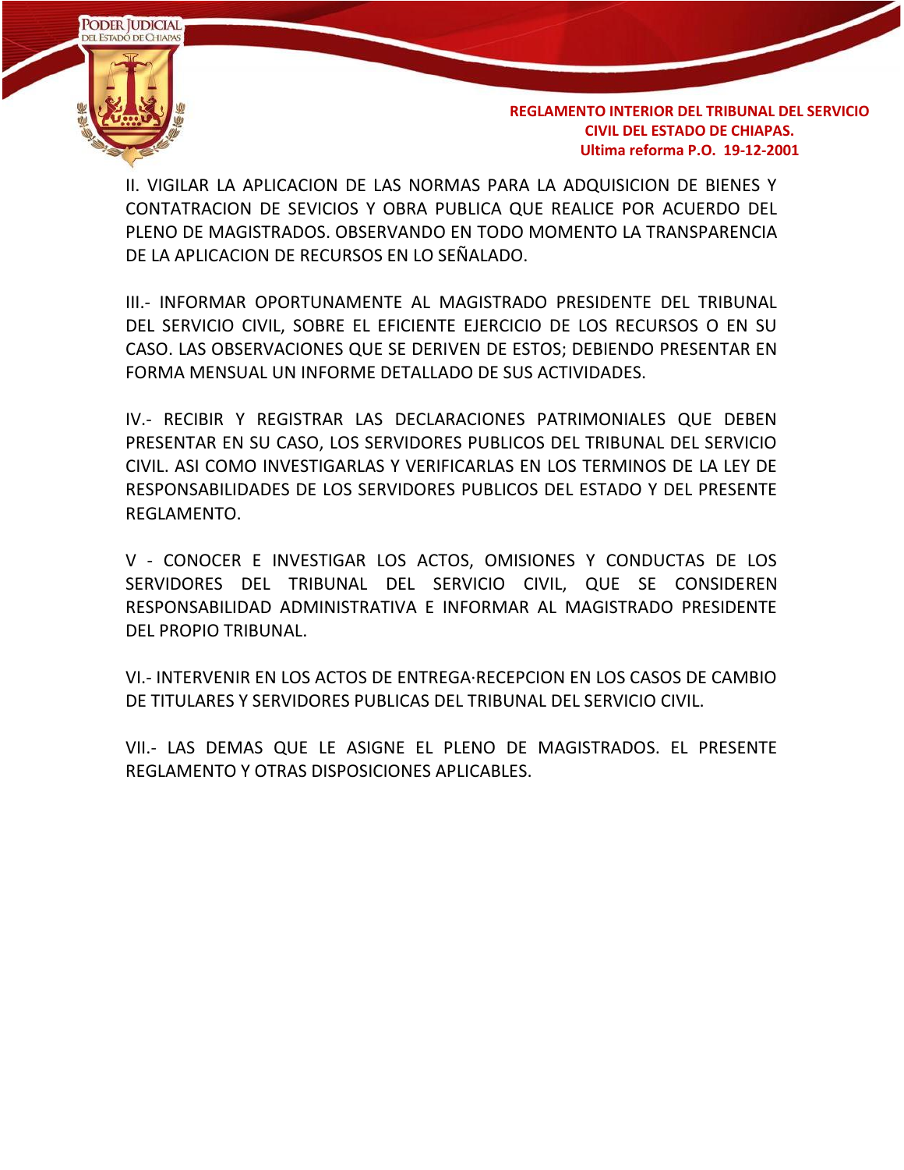

II. VIGILAR LA APLICACION DE LAS NORMAS PARA LA ADQUISICION DE BIENES Y CONTATRACION DE SEVICIOS Y OBRA PUBLICA QUE REALICE POR ACUERDO DEL PLENO DE MAGISTRADOS. OBSERVANDO EN TODO MOMENTO LA TRANSPARENCIA DE LA APLICACION DE RECURSOS EN LO SEÑALADO.

III.- INFORMAR OPORTUNAMENTE AL MAGISTRADO PRESIDENTE DEL TRIBUNAL DEL SERVICIO CIVIL, SOBRE EL EFICIENTE EJERCICIO DE LOS RECURSOS O EN SU CASO. LAS OBSERVACIONES QUE SE DERIVEN DE ESTOS; DEBIENDO PRESENTAR EN FORMA MENSUAL UN INFORME DETALLADO DE SUS ACTIVIDADES.

IV.- RECIBIR Y REGISTRAR LAS DECLARACIONES PATRIMONIALES QUE DEBEN PRESENTAR EN SU CASO, LOS SERVIDORES PUBLICOS DEL TRIBUNAL DEL SERVICIO CIVIL. ASI COMO INVESTIGARLAS Y VERIFICARLAS EN LOS TERMINOS DE LA LEY DE RESPONSABILIDADES DE LOS SERVIDORES PUBLICOS DEL ESTADO Y DEL PRESENTE REGLAMENTO.

V - CONOCER E INVESTIGAR LOS ACTOS, OMISIONES Y CONDUCTAS DE LOS SERVIDORES DEL TRIBUNAL DEL SERVICIO CIVIL, QUE SE CONSIDEREN RESPONSABILIDAD ADMINISTRATIVA E INFORMAR AL MAGISTRADO PRESIDENTE DEL PROPIO TRIBUNAL.

VI.- INTERVENIR EN LOS ACTOS DE ENTREGA·RECEPCION EN LOS CASOS DE CAMBIO DE TITULARES Y SERVIDORES PUBLICAS DEL TRIBUNAL DEL SERVICIO CIVIL.

VII.- LAS DEMAS QUE LE ASIGNE EL PLENO DE MAGISTRADOS. EL PRESENTE REGLAMENTO Y OTRAS DISPOSICIONES APLICABLES.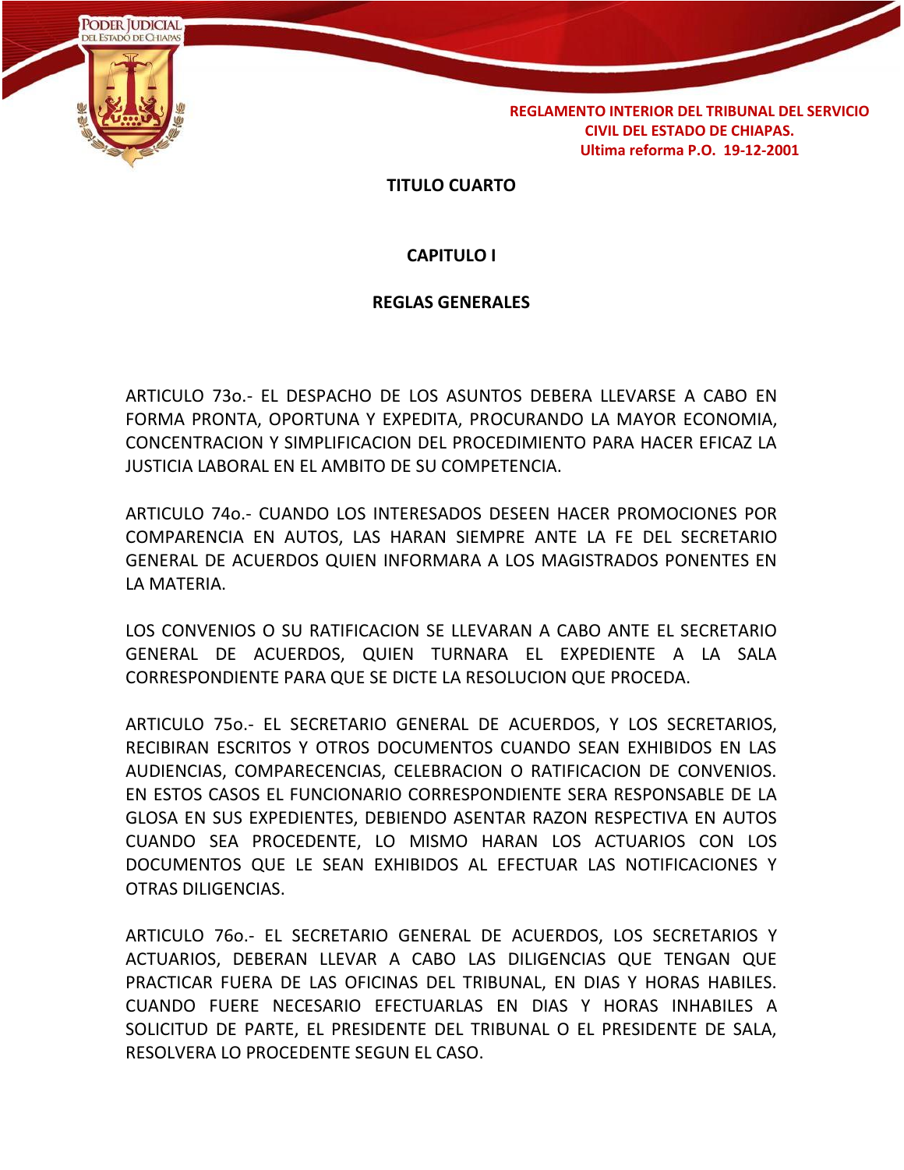

#### **TITULO CUARTO**

#### **CAPITULO I**

#### **REGLAS GENERALES**

ARTICULO 73o.- EL DESPACHO DE LOS ASUNTOS DEBERA LLEVARSE A CABO EN FORMA PRONTA, OPORTUNA Y EXPEDITA, PROCURANDO LA MAYOR ECONOMIA, CONCENTRACION Y SIMPLIFICACION DEL PROCEDIMIENTO PARA HACER EFICAZ LA JUSTICIA LABORAL EN EL AMBITO DE SU COMPETENCIA.

ARTICULO 74o.- CUANDO LOS INTERESADOS DESEEN HACER PROMOCIONES POR COMPARENCIA EN AUTOS, LAS HARAN SIEMPRE ANTE LA FE DEL SECRETARIO GENERAL DE ACUERDOS QUIEN INFORMARA A LOS MAGISTRADOS PONENTES EN LA MATERIA.

LOS CONVENIOS O SU RATIFICACION SE LLEVARAN A CABO ANTE EL SECRETARIO GENERAL DE ACUERDOS, QUIEN TURNARA EL EXPEDIENTE A LA SALA CORRESPONDIENTE PARA QUE SE DICTE LA RESOLUCION QUE PROCEDA.

ARTICULO 75o.- EL SECRETARIO GENERAL DE ACUERDOS, Y LOS SECRETARIOS, RECIBIRAN ESCRITOS Y OTROS DOCUMENTOS CUANDO SEAN EXHIBIDOS EN LAS AUDIENCIAS, COMPARECENCIAS, CELEBRACION O RATIFICACION DE CONVENIOS. EN ESTOS CASOS EL FUNCIONARIO CORRESPONDIENTE SERA RESPONSABLE DE LA GLOSA EN SUS EXPEDIENTES, DEBIENDO ASENTAR RAZON RESPECTIVA EN AUTOS CUANDO SEA PROCEDENTE, LO MISMO HARAN LOS ACTUARIOS CON LOS DOCUMENTOS QUE LE SEAN EXHIBIDOS AL EFECTUAR LAS NOTIFICACIONES Y OTRAS DILIGENCIAS.

ARTICULO 76o.- EL SECRETARIO GENERAL DE ACUERDOS, LOS SECRETARIOS Y ACTUARIOS, DEBERAN LLEVAR A CABO LAS DILIGENCIAS QUE TENGAN QUE PRACTICAR FUERA DE LAS OFICINAS DEL TRIBUNAL, EN DIAS Y HORAS HABILES. CUANDO FUERE NECESARIO EFECTUARLAS EN DIAS Y HORAS INHABILES A SOLICITUD DE PARTE, EL PRESIDENTE DEL TRIBUNAL O EL PRESIDENTE DE SALA, RESOLVERA LO PROCEDENTE SEGUN EL CASO.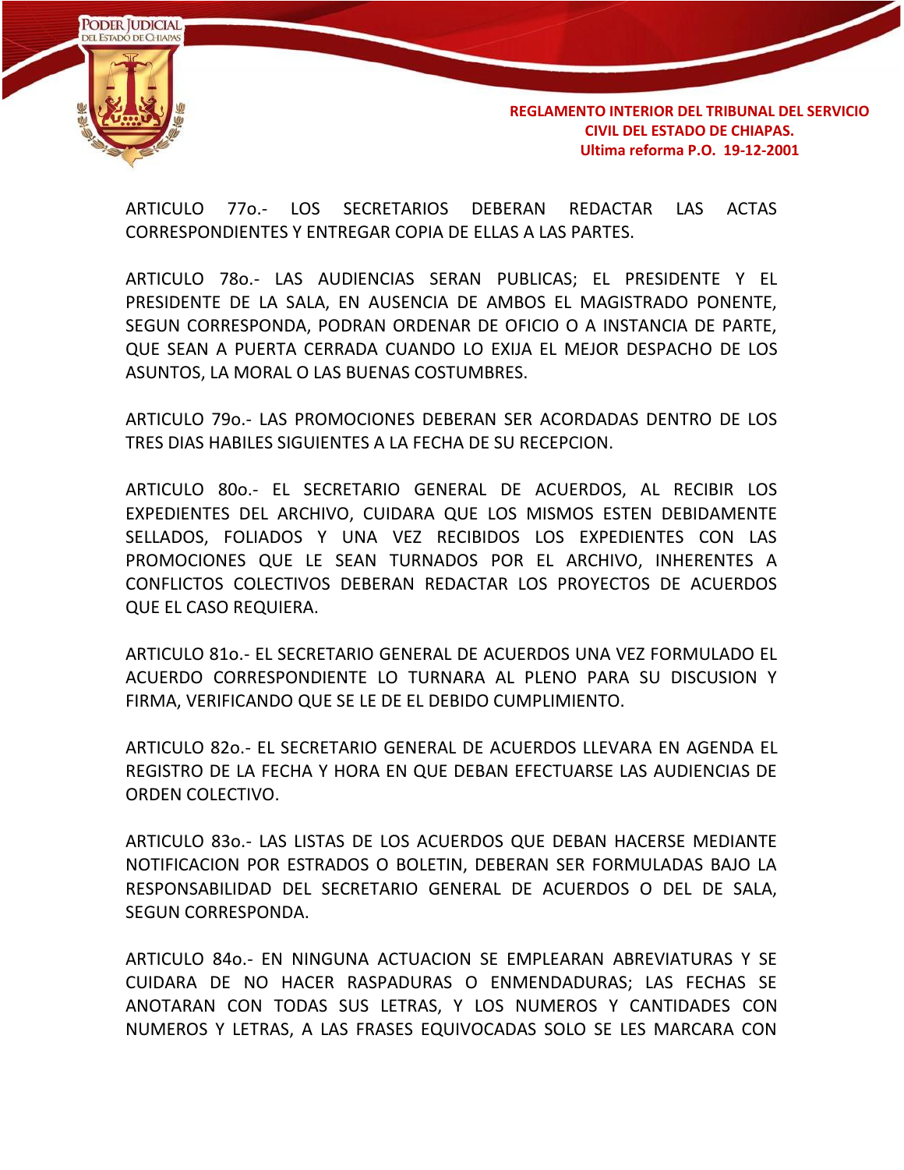

ARTICULO 77o.- LOS SECRETARIOS DEBERAN REDACTAR LAS ACTAS CORRESPONDIENTES Y ENTREGAR COPIA DE ELLAS A LAS PARTES.

ARTICULO 78o.- LAS AUDIENCIAS SERAN PUBLICAS; EL PRESIDENTE Y EL PRESIDENTE DE LA SALA, EN AUSENCIA DE AMBOS EL MAGISTRADO PONENTE, SEGUN CORRESPONDA, PODRAN ORDENAR DE OFICIO O A INSTANCIA DE PARTE, QUE SEAN A PUERTA CERRADA CUANDO LO EXIJA EL MEJOR DESPACHO DE LOS ASUNTOS, LA MORAL O LAS BUENAS COSTUMBRES.

ARTICULO 79o.- LAS PROMOCIONES DEBERAN SER ACORDADAS DENTRO DE LOS TRES DIAS HABILES SIGUIENTES A LA FECHA DE SU RECEPCION.

ARTICULO 80o.- EL SECRETARIO GENERAL DE ACUERDOS, AL RECIBIR LOS EXPEDIENTES DEL ARCHIVO, CUIDARA QUE LOS MISMOS ESTEN DEBIDAMENTE SELLADOS, FOLIADOS Y UNA VEZ RECIBIDOS LOS EXPEDIENTES CON LAS PROMOCIONES QUE LE SEAN TURNADOS POR EL ARCHIVO, INHERENTES A CONFLICTOS COLECTIVOS DEBERAN REDACTAR LOS PROYECTOS DE ACUERDOS QUE EL CASO REQUIERA.

ARTICULO 81o.- EL SECRETARIO GENERAL DE ACUERDOS UNA VEZ FORMULADO EL ACUERDO CORRESPONDIENTE LO TURNARA AL PLENO PARA SU DISCUSION Y FIRMA, VERIFICANDO QUE SE LE DE EL DEBIDO CUMPLIMIENTO.

ARTICULO 82o.- EL SECRETARIO GENERAL DE ACUERDOS LLEVARA EN AGENDA EL REGISTRO DE LA FECHA Y HORA EN QUE DEBAN EFECTUARSE LAS AUDIENCIAS DE ORDEN COLECTIVO.

ARTICULO 83o.- LAS LISTAS DE LOS ACUERDOS QUE DEBAN HACERSE MEDIANTE NOTIFICACION POR ESTRADOS O BOLETIN, DEBERAN SER FORMULADAS BAJO LA RESPONSABILIDAD DEL SECRETARIO GENERAL DE ACUERDOS O DEL DE SALA, SEGUN CORRESPONDA.

ARTICULO 84o.- EN NINGUNA ACTUACION SE EMPLEARAN ABREVIATURAS Y SE CUIDARA DE NO HACER RASPADURAS O ENMENDADURAS; LAS FECHAS SE ANOTARAN CON TODAS SUS LETRAS, Y LOS NUMEROS Y CANTIDADES CON NUMEROS Y LETRAS, A LAS FRASES EQUIVOCADAS SOLO SE LES MARCARA CON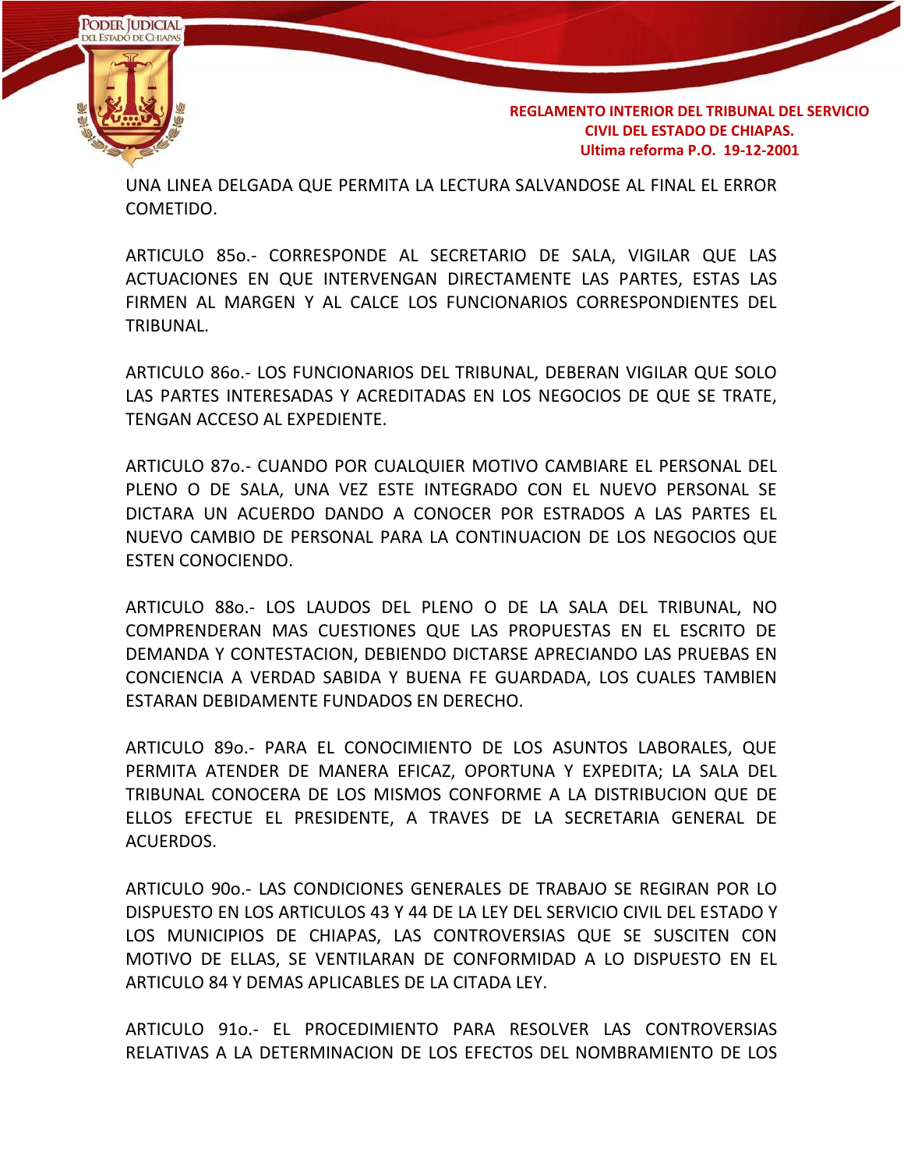

UNA LINEA DELGADA QUE PERMITA LA LECTURA SALVANDOSE AL FINAL EL ERROR COMETIDO.

ARTICULO 85o.- CORRESPONDE AL SECRETARIO DE SALA, VIGILAR QUE LAS ACTUACIONES EN QUE INTERVENGAN DIRECTAMENTE LAS PARTES, ESTAS LAS FIRMEN AL MARGEN Y AL CALCE LOS FUNCIONARIOS CORRESPONDIENTES DEL TRIBUNAL.

ARTICULO 86o.- LOS FUNCIONARIOS DEL TRIBUNAL, DEBERAN VIGILAR QUE SOLO LAS PARTES INTERESADAS Y ACREDITADAS EN LOS NEGOCIOS DE QUE SE TRATE, TENGAN ACCESO AL EXPEDIENTE.

ARTICULO 87o.- CUANDO POR CUALQUIER MOTIVO CAMBIARE EL PERSONAL DEL PLENO O DE SALA, UNA VEZ ESTE INTEGRADO CON EL NUEVO PERSONAL SE DICTARA UN ACUERDO DANDO A CONOCER POR ESTRADOS A LAS PARTES EL NUEVO CAMBIO DE PERSONAL PARA LA CONTINUACION DE LOS NEGOCIOS QUE ESTEN CONOCIENDO.

ARTICULO 88o.- LOS LAUDOS DEL PLENO O DE LA SALA DEL TRIBUNAL, NO COMPRENDERAN MAS CUESTIONES QUE LAS PROPUESTAS EN EL ESCRITO DE DEMANDA Y CONTESTACION, DEBIENDO DICTARSE APRECIANDO LAS PRUEBAS EN CONCIENCIA A VERDAD SABIDA Y BUENA FE GUARDADA, LOS CUALES TAMBlEN ESTARAN DEBIDAMENTE FUNDADOS EN DERECHO.

ARTICULO 89o.- PARA EL CONOCIMIENTO DE LOS ASUNTOS LABORALES, QUE PERMITA ATENDER DE MANERA EFICAZ, OPORTUNA Y EXPEDITA; LA SALA DEL TRIBUNAL CONOCERA DE LOS MISMOS CONFORME A LA DISTRIBUCION QUE DE ELLOS EFECTUE EL PRESIDENTE, A TRAVES DE LA SECRETARIA GENERAL DE ACUERDOS.

ARTICULO 90o.- LAS CONDICIONES GENERALES DE TRABAJO SE REGIRAN POR LO DISPUESTO EN LOS ARTICULOS 43 Y 44 DE LA LEY DEL SERVICIO CIVIL DEL ESTADO Y LOS MUNICIPIOS DE CHIAPAS, LAS CONTROVERSIAS QUE SE SUSCITEN CON MOTIVO DE ELLAS, SE VENTILARAN DE CONFORMIDAD A LO DISPUESTO EN EL ARTICULO 84 Y DEMAS APLICABLES DE LA CITADA LEY.

ARTICULO 91o.- EL PROCEDIMIENTO PARA RESOLVER LAS CONTROVERSIAS RELATIVAS A LA DETERMINACION DE LOS EFECTOS DEL NOMBRAMIENTO DE LOS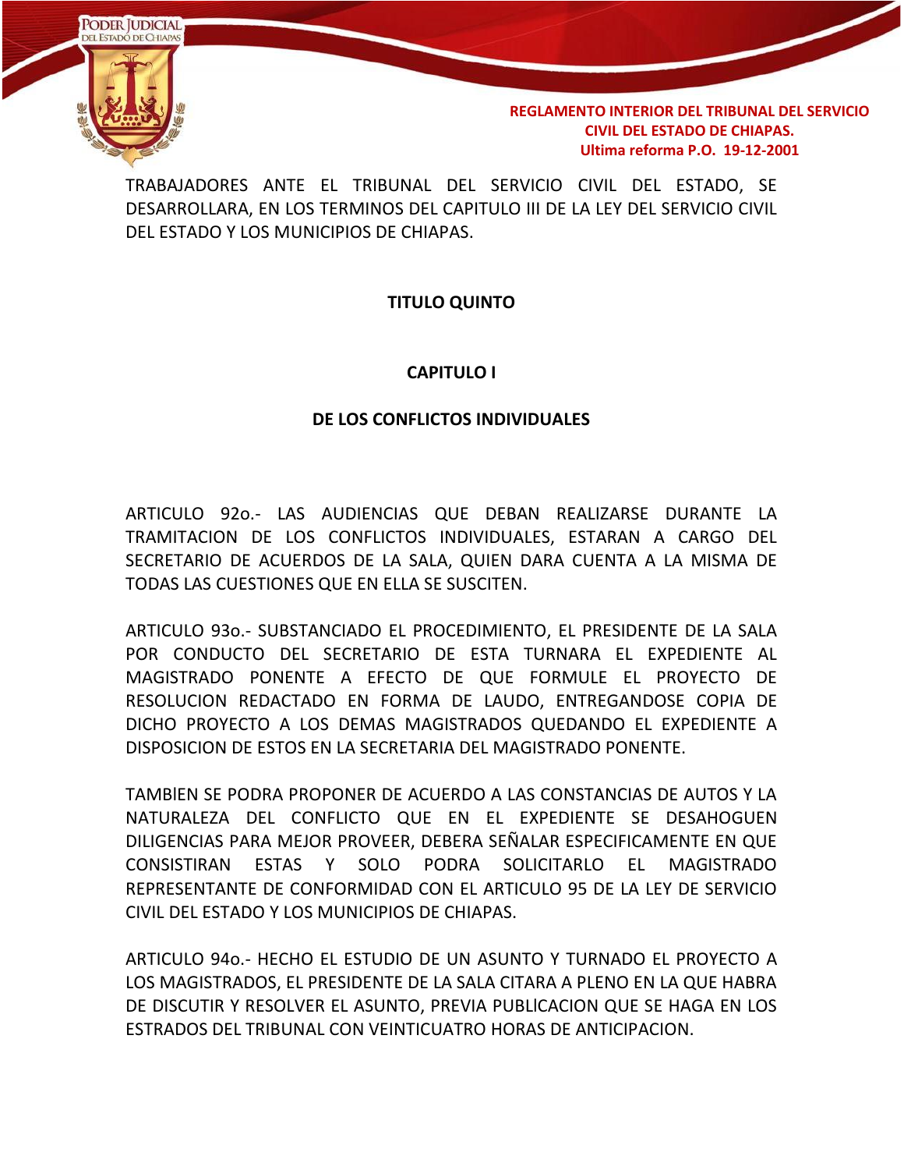

TRABAJADORES ANTE EL TRIBUNAL DEL SERVICIO CIVIL DEL ESTADO, SE DESARROLLARA, EN LOS TERMINOS DEL CAPITULO III DE LA LEY DEL SERVICIO CIVIL DEL ESTADO Y LOS MUNICIPIOS DE CHIAPAS.

### **TITULO QUINTO**

#### **CAPITULO I**

#### **DE LOS CONFLICTOS INDIVIDUALES**

ARTICULO 92o.- LAS AUDIENCIAS QUE DEBAN REALIZARSE DURANTE LA TRAMITACION DE LOS CONFLICTOS INDIVIDUALES, ESTARAN A CARGO DEL SECRETARIO DE ACUERDOS DE LA SALA, QUIEN DARA CUENTA A LA MISMA DE TODAS LAS CUESTIONES QUE EN ELLA SE SUSCITEN.

ARTICULO 93o.- SUBSTANCIADO EL PROCEDIMIENTO, EL PRESIDENTE DE LA SALA POR CONDUCTO DEL SECRETARIO DE ESTA TURNARA EL EXPEDIENTE AL MAGISTRADO PONENTE A EFECTO DE QUE FORMULE EL PROYECTO DE RESOLUCION REDACTADO EN FORMA DE LAUDO, ENTREGANDOSE COPIA DE DICHO PROYECTO A LOS DEMAS MAGISTRADOS QUEDANDO EL EXPEDIENTE A DISPOSICION DE ESTOS EN LA SECRETARIA DEL MAGISTRADO PONENTE.

TAMBlEN SE PODRA PROPONER DE ACUERDO A LAS CONSTANCIAS DE AUTOS Y LA NATURALEZA DEL CONFLICTO QUE EN EL EXPEDIENTE SE DESAHOGUEN DILIGENCIAS PARA MEJOR PROVEER, DEBERA SEÑALAR ESPECIFICAMENTE EN QUE CONSISTIRAN ESTAS Y SOLO PODRA SOLICITARLO EL MAGISTRADO REPRESENTANTE DE CONFORMIDAD CON EL ARTICULO 95 DE LA LEY DE SERVICIO CIVIL DEL ESTADO Y LOS MUNICIPIOS DE CHIAPAS.

ARTICULO 94o.- HECHO EL ESTUDIO DE UN ASUNTO Y TURNADO EL PROYECTO A LOS MAGISTRADOS, EL PRESIDENTE DE LA SALA CITARA A PLENO EN LA QUE HABRA DE DISCUTIR Y RESOLVER EL ASUNTO, PREVIA PUBLlCACION QUE SE HAGA EN LOS ESTRADOS DEL TRIBUNAL CON VEINTICUATRO HORAS DE ANTICIPACION.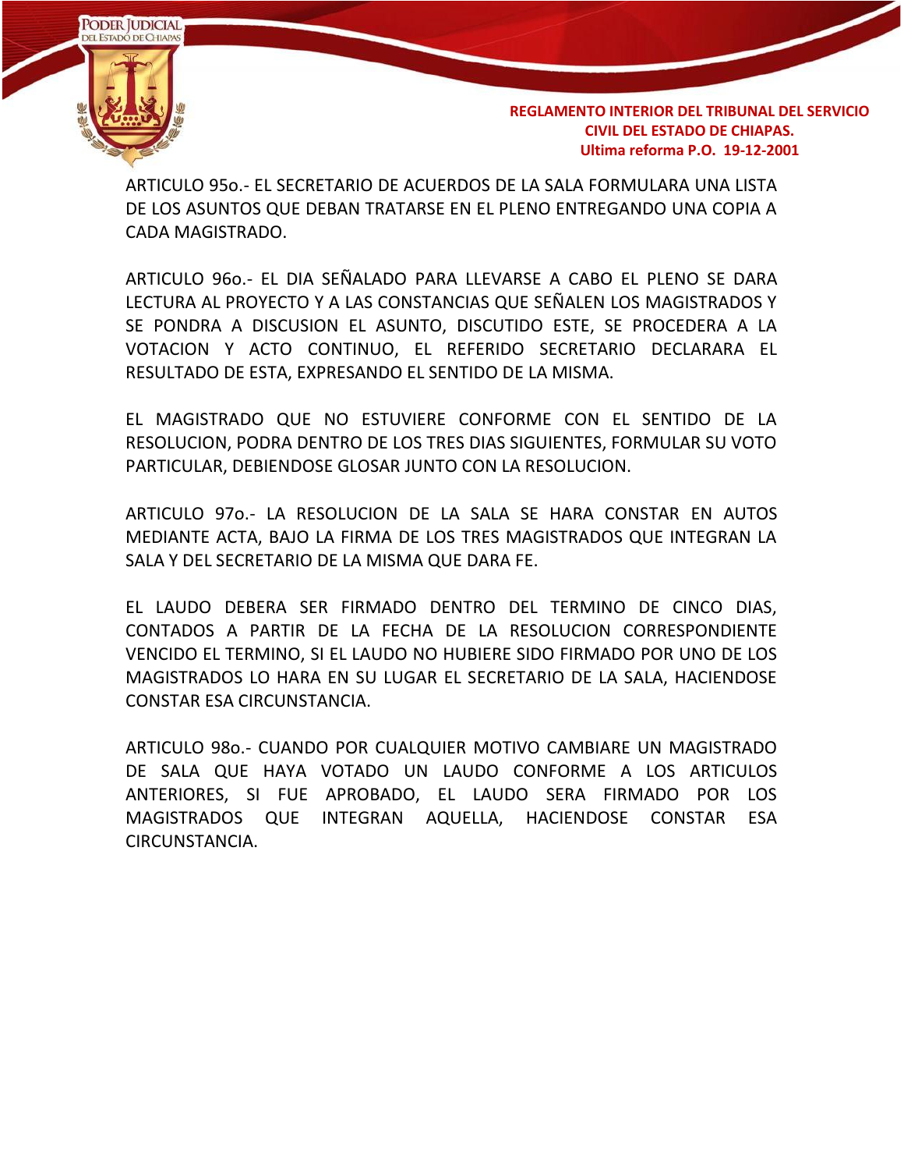

ARTICULO 95o.- EL SECRETARIO DE ACUERDOS DE LA SALA FORMULARA UNA LISTA DE LOS ASUNTOS QUE DEBAN TRATARSE EN EL PLENO ENTREGANDO UNA COPIA A CADA MAGISTRADO.

ARTICULO 96o.- EL DIA SEÑALADO PARA LLEVARSE A CABO EL PLENO SE DARA LECTURA AL PROYECTO Y A LAS CONSTANCIAS QUE SEÑALEN LOS MAGISTRADOS Y SE PONDRA A DISCUSION EL ASUNTO, DISCUTIDO ESTE, SE PROCEDERA A LA VOTACION Y ACTO CONTINUO, EL REFERIDO SECRETARIO DECLARARA EL RESULTADO DE ESTA, EXPRESANDO EL SENTIDO DE LA MISMA.

EL MAGISTRADO QUE NO ESTUVIERE CONFORME CON EL SENTIDO DE LA RESOLUCION, PODRA DENTRO DE LOS TRES DIAS SIGUIENTES, FORMULAR SU VOTO PARTICULAR, DEBIENDOSE GLOSAR JUNTO CON LA RESOLUCION.

ARTICULO 97o.- LA RESOLUCION DE LA SALA SE HARA CONSTAR EN AUTOS MEDIANTE ACTA, BAJO LA FIRMA DE LOS TRES MAGISTRADOS QUE INTEGRAN LA SALA Y DEL SECRETARIO DE LA MISMA QUE DARA FE.

EL LAUDO DEBERA SER FIRMADO DENTRO DEL TERMINO DE CINCO DIAS, CONTADOS A PARTIR DE LA FECHA DE LA RESOLUCION CORRESPONDIENTE VENCIDO EL TERMINO, SI EL LAUDO NO HUBIERE SIDO FIRMADO POR UNO DE LOS MAGISTRADOS LO HARA EN SU LUGAR EL SECRETARIO DE LA SALA, HACIENDOSE CONSTAR ESA CIRCUNSTANCIA.

ARTICULO 98o.- CUANDO POR CUALQUIER MOTIVO CAMBIARE UN MAGISTRADO DE SALA QUE HAYA VOTADO UN LAUDO CONFORME A LOS ARTICULOS ANTERIORES, SI FUE APROBADO, EL LAUDO SERA FIRMADO POR LOS MAGISTRADOS QUE INTEGRAN AQUELLA, HACIENDOSE CONSTAR ESA CIRCUNSTANCIA.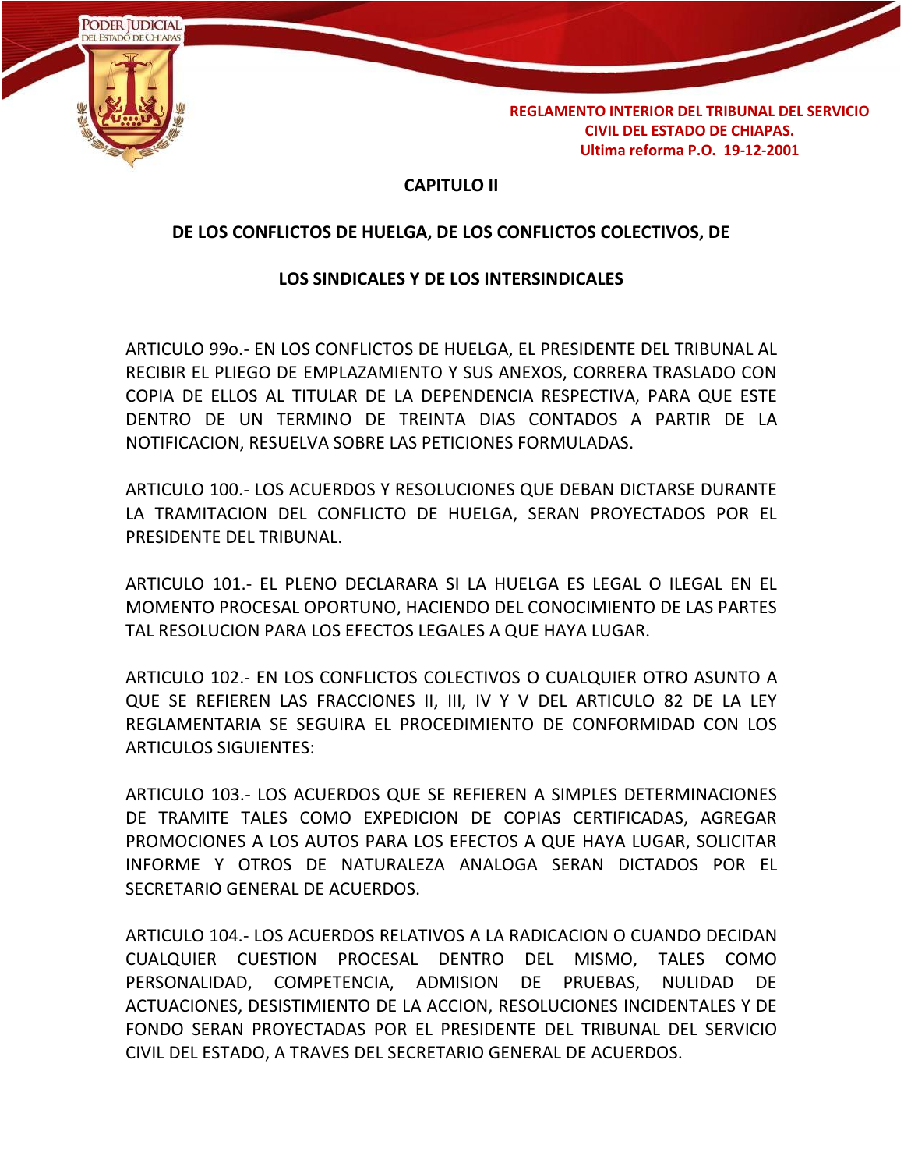

## **CAPITULO II**

### **DE LOS CONFLICTOS DE HUELGA, DE LOS CONFLICTOS COLECTIVOS, DE**

#### **LOS SINDICALES Y DE LOS INTERSINDICALES**

ARTICULO 99o.- EN LOS CONFLICTOS DE HUELGA, EL PRESIDENTE DEL TRIBUNAL AL RECIBIR EL PLIEGO DE EMPLAZAMIENTO Y SUS ANEXOS, CORRERA TRASLADO CON COPIA DE ELLOS AL TITULAR DE LA DEPENDENCIA RESPECTIVA, PARA QUE ESTE DENTRO DE UN TERMINO DE TREINTA DIAS CONTADOS A PARTIR DE LA NOTIFICACION, RESUELVA SOBRE LAS PETICIONES FORMULADAS.

ARTICULO 100.- LOS ACUERDOS Y RESOLUCIONES QUE DEBAN DICTARSE DURANTE LA TRAMITACION DEL CONFLICTO DE HUELGA, SERAN PROYECTADOS POR EL PRESIDENTE DEL TRIBUNAL.

ARTICULO 101.- EL PLENO DECLARARA SI LA HUELGA ES LEGAL O ILEGAL EN EL MOMENTO PROCESAL OPORTUNO, HACIENDO DEL CONOCIMIENTO DE LAS PARTES TAL RESOLUCION PARA LOS EFECTOS LEGALES A QUE HAYA LUGAR.

ARTICULO 102.- EN LOS CONFLICTOS COLECTIVOS O CUALQUIER OTRO ASUNTO A QUE SE REFIEREN LAS FRACCIONES II, III, IV Y V DEL ARTICULO 82 DE LA LEY REGLAMENTARIA SE SEGUIRA EL PROCEDIMIENTO DE CONFORMIDAD CON LOS ARTICULOS SIGUIENTES:

ARTICULO 103.- LOS ACUERDOS QUE SE REFIEREN A SIMPLES DETERMINACIONES DE TRAMITE TALES COMO EXPEDICION DE COPIAS CERTIFICADAS, AGREGAR PROMOCIONES A LOS AUTOS PARA LOS EFECTOS A QUE HAYA LUGAR, SOLICITAR INFORME Y OTROS DE NATURALEZA ANALOGA SERAN DICTADOS POR EL SECRETARIO GENERAL DE ACUERDOS.

ARTICULO 104.- LOS ACUERDOS RELATIVOS A LA RADICACION O CUANDO DECIDAN CUALQUIER CUESTION PROCESAL DENTRO DEL MISMO, TALES COMO PERSONALIDAD, COMPETENCIA, ADMISION DE PRUEBAS, NULIDAD DE ACTUACIONES, DESISTIMIENTO DE LA ACCION, RESOLUCIONES INCIDENTALES Y DE FONDO SERAN PROYECTADAS POR EL PRESIDENTE DEL TRIBUNAL DEL SERVICIO CIVIL DEL ESTADO, A TRAVES DEL SECRETARIO GENERAL DE ACUERDOS.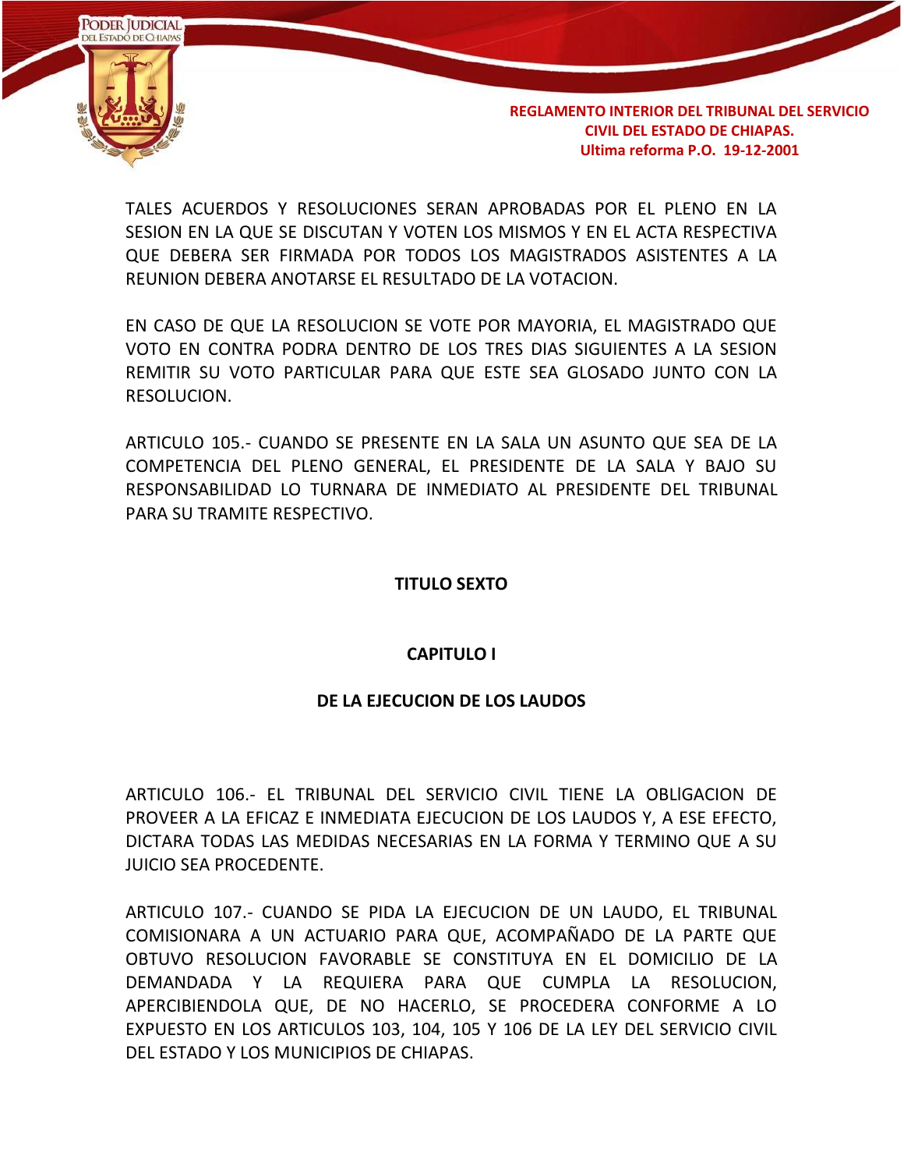

TALES ACUERDOS Y RESOLUCIONES SERAN APROBADAS POR EL PLENO EN LA SESION EN LA QUE SE DISCUTAN Y VOTEN LOS MISMOS Y EN EL ACTA RESPECTIVA QUE DEBERA SER FIRMADA POR TODOS LOS MAGISTRADOS ASISTENTES A LA REUNION DEBERA ANOTARSE EL RESULTADO DE LA VOTACION.

EN CASO DE QUE LA RESOLUCION SE VOTE POR MAYORIA, EL MAGISTRADO QUE VOTO EN CONTRA PODRA DENTRO DE LOS TRES DIAS SIGUIENTES A LA SESION REMITIR SU VOTO PARTICULAR PARA QUE ESTE SEA GLOSADO JUNTO CON LA RESOLUCION.

ARTICULO 105.- CUANDO SE PRESENTE EN LA SALA UN ASUNTO QUE SEA DE LA COMPETENCIA DEL PLENO GENERAL, EL PRESIDENTE DE LA SALA Y BAJO SU RESPONSABILIDAD LO TURNARA DE INMEDIATO AL PRESIDENTE DEL TRIBUNAL PARA SU TRAMITE RESPECTIVO.

#### **TITULO SEXTO**

#### **CAPITULO I**

#### **DE LA EJECUCION DE LOS LAUDOS**

ARTICULO 106.- EL TRIBUNAL DEL SERVICIO CIVIL TIENE LA OBLlGACION DE PROVEER A LA EFICAZ E INMEDIATA EJECUCION DE LOS LAUDOS Y, A ESE EFECTO, DICTARA TODAS LAS MEDIDAS NECESARIAS EN LA FORMA Y TERMINO QUE A SU JUICIO SEA PROCEDENTE.

ARTICULO 107.- CUANDO SE PIDA LA EJECUCION DE UN LAUDO, EL TRIBUNAL COMISIONARA A UN ACTUARIO PARA QUE, ACOMPAÑADO DE LA PARTE QUE OBTUVO RESOLUCION FAVORABLE SE CONSTITUYA EN EL DOMICILIO DE LA DEMANDADA Y LA REQUIERA PARA QUE CUMPLA LA RESOLUCION, APERCIBIENDOLA QUE, DE NO HACERLO, SE PROCEDERA CONFORME A LO EXPUESTO EN LOS ARTICULOS 103, 104, 105 Y 106 DE LA LEY DEL SERVICIO CIVIL DEL ESTADO Y LOS MUNICIPIOS DE CHIAPAS.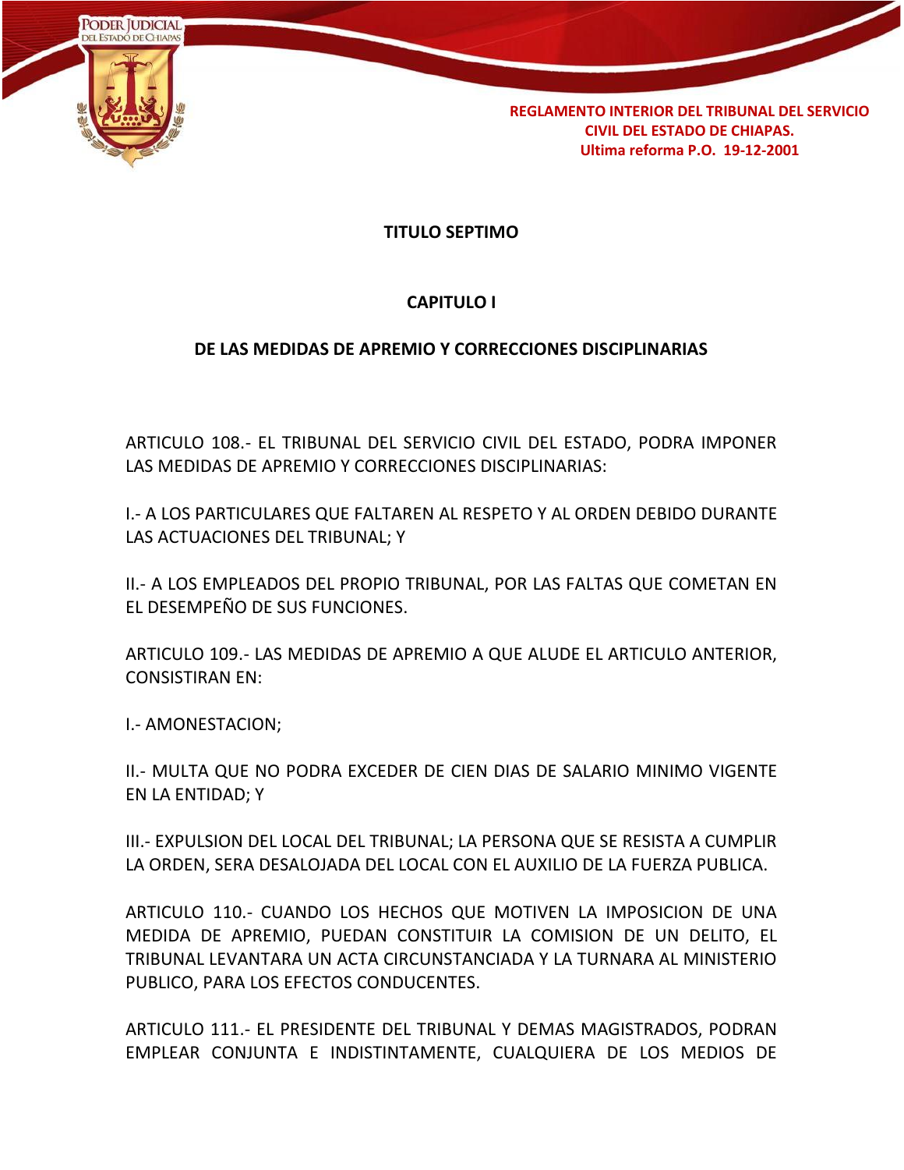

**TITULO SEPTIMO**

# **CAPITULO I**

# **DE LAS MEDIDAS DE APREMIO Y CORRECCIONES DISCIPLINARIAS**

ARTICULO 108.- EL TRIBUNAL DEL SERVICIO CIVIL DEL ESTADO, PODRA IMPONER LAS MEDIDAS DE APREMIO Y CORRECCIONES DISCIPLINARIAS:

I.- A LOS PARTICULARES QUE FALTAREN AL RESPETO Y AL ORDEN DEBIDO DURANTE LAS ACTUACIONES DEL TRIBUNAL; Y

II.- A LOS EMPLEADOS DEL PROPIO TRIBUNAL, POR LAS FALTAS QUE COMETAN EN EL DESEMPEÑO DE SUS FUNCIONES.

ARTICULO 109.- LAS MEDIDAS DE APREMIO A QUE ALUDE EL ARTICULO ANTERIOR, CONSISTIRAN EN:

I.- AMONESTACION;

II.- MULTA QUE NO PODRA EXCEDER DE CIEN DIAS DE SALARIO MINIMO VIGENTE EN LA ENTIDAD; Y

III.- EXPULSION DEL LOCAL DEL TRIBUNAL; LA PERSONA QUE SE RESISTA A CUMPLIR LA ORDEN, SERA DESALOJADA DEL LOCAL CON EL AUXILIO DE LA FUERZA PUBLICA.

ARTICULO 110.- CUANDO LOS HECHOS QUE MOTIVEN LA IMPOSICION DE UNA MEDIDA DE APREMIO, PUEDAN CONSTITUIR LA COMISION DE UN DELITO, EL TRIBUNAL LEVANTARA UN ACTA CIRCUNSTANCIADA Y LA TURNARA AL MINISTERIO PUBLICO, PARA LOS EFECTOS CONDUCENTES.

ARTICULO 111.- EL PRESIDENTE DEL TRIBUNAL Y DEMAS MAGISTRADOS, PODRAN EMPLEAR CONJUNTA E INDISTINTAMENTE, CUALQUIERA DE LOS MEDIOS DE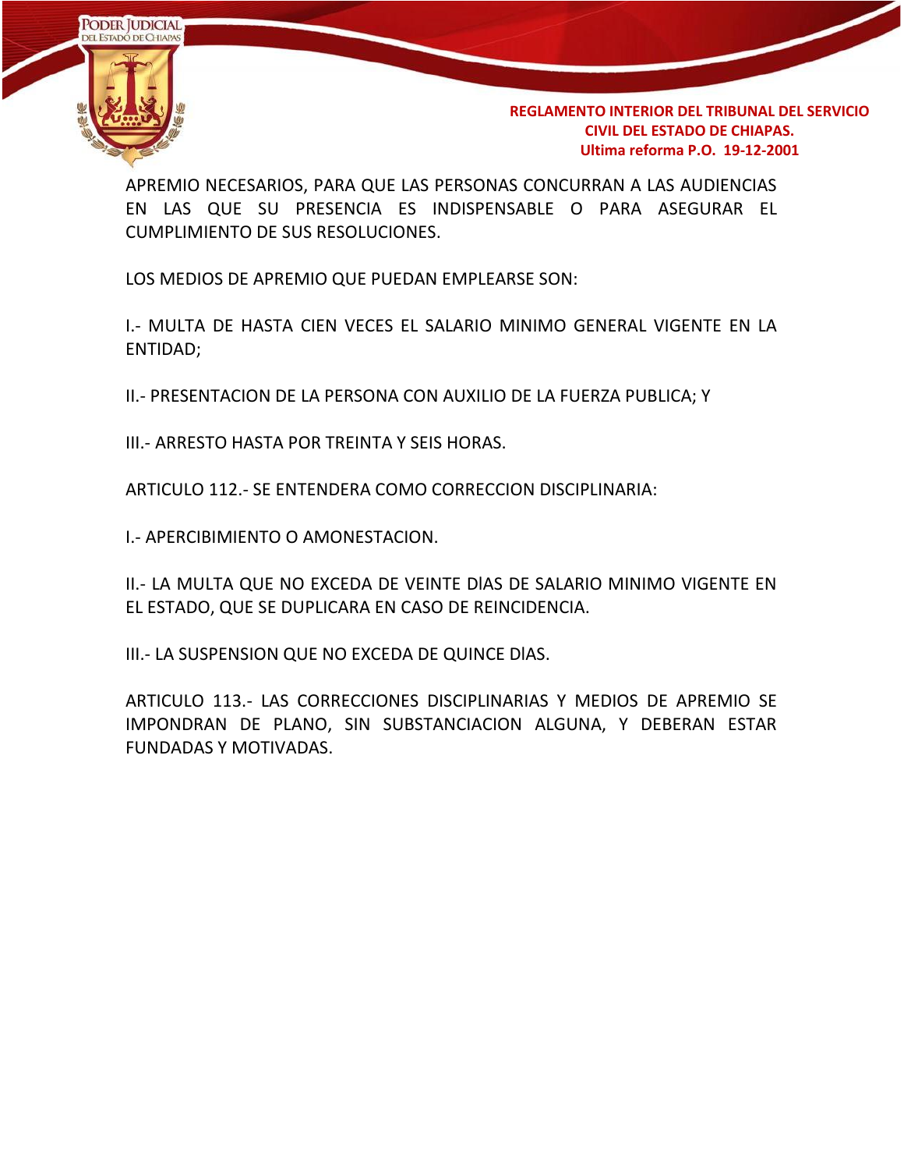

APREMIO NECESARIOS, PARA QUE LAS PERSONAS CONCURRAN A LAS AUDIENCIAS EN LAS QUE SU PRESENCIA ES INDISPENSABLE O PARA ASEGURAR EL CUMPLIMIENTO DE SUS RESOLUCIONES.

LOS MEDIOS DE APREMIO QUE PUEDAN EMPLEARSE SON:

I.- MULTA DE HASTA CIEN VECES EL SALARIO MINIMO GENERAL VIGENTE EN LA ENTIDAD;

II.- PRESENTACION DE LA PERSONA CON AUXILIO DE LA FUERZA PUBLICA; Y

III.- ARRESTO HASTA POR TREINTA Y SEIS HORAS.

ARTICULO 112.- SE ENTENDERA COMO CORRECCION DISCIPLINARIA:

I.- APERCIBIMIENTO O AMONESTACION.

II.- LA MULTA QUE NO EXCEDA DE VEINTE DlAS DE SALARIO MINIMO VIGENTE EN EL ESTADO, QUE SE DUPLICARA EN CASO DE REINCIDENCIA.

III.- LA SUSPENSION QUE NO EXCEDA DE QUINCE DlAS.

ARTICULO 113.- LAS CORRECCIONES DISCIPLINARIAS Y MEDIOS DE APREMIO SE IMPONDRAN DE PLANO, SIN SUBSTANCIACION ALGUNA, Y DEBERAN ESTAR FUNDADAS Y MOTIVADAS.